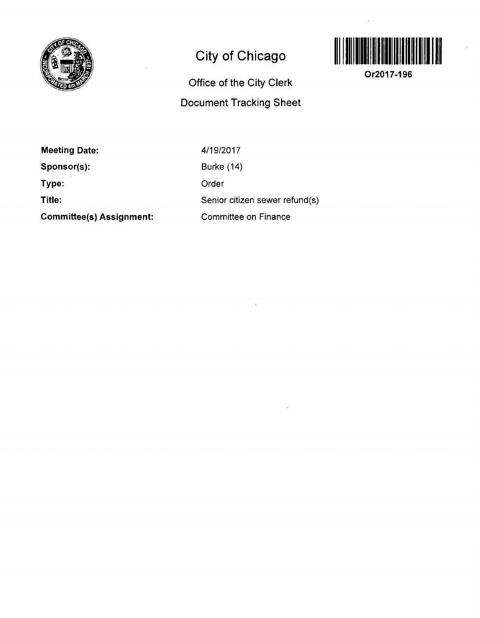

## **City of Chicago**

## **Office of the City Clerk Document Tracking Sheet**



**Or2017-196** 

**Meeting Date: Sponsor(s): Type: Title:** 

**Committee(s) Assignment:** 

4/19/2017 Burke (14) Order Senior citizen sewer refund(s) Committee on Finance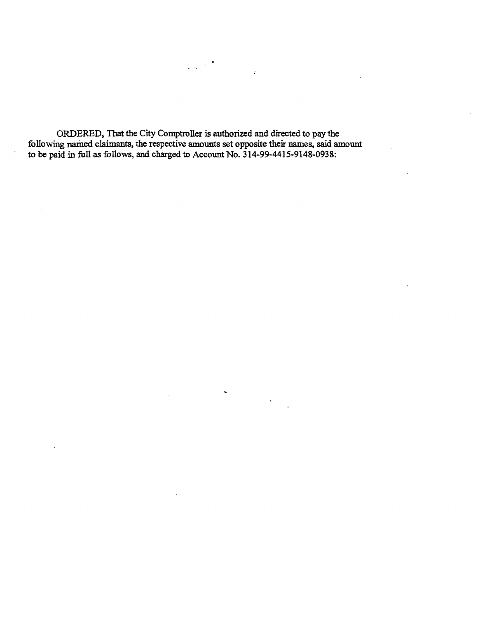**ORDERED, That the City Comptroller is authorized and directed to pay the following named claimants, the respective amounts set opposite their names, said amount to be paid in full as follows, and charged to Account No. 314-99-4415-9148-0938:** 

 $\sqrt{3}$  and  $\sqrt{3}$ 

 $\hat{I}$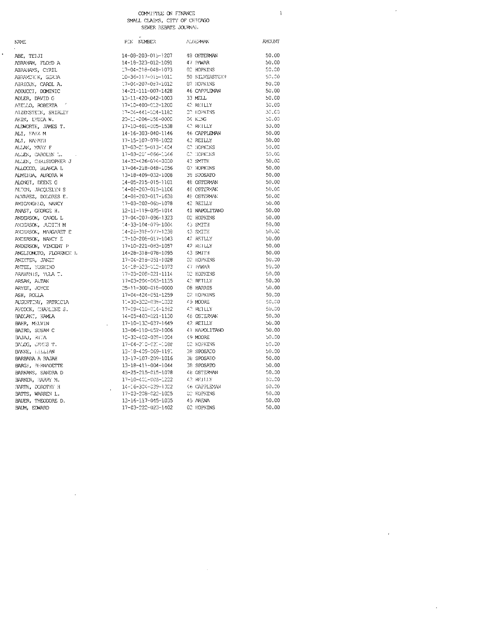$\bar{\mathrm{i}}$ 

 $\bar{\mathcal{A}}$ 

 $\epsilon$ 

 $\hat{\boldsymbol{\theta}}$ 

| <b>NAME</b>             | PIN NUMBER                   | AUDISPMAN         | <b>AYOUNT</b> |
|-------------------------|------------------------------|-------------------|---------------|
| ABE, TEIJI              | 14-08-203-015-1207           | 48 OSTERMAN       | 50.00         |
| ABRAHAM, FLOYD A        | 14-18-323-012-1091           | 47 PAWAR          | 50.00         |
| ABRAHAMS, CYRIL         | 17-04-218-048-1073           | 02 HOPKINS        | 50.00         |
| ABRAMCHIK, GERDA        | 10-36-117-015-1011           | 50 SILVERSTEIN    | 50.00         |
| ABRIOUN, CAROL A.       | 17-04-207-087-1012           | 02 HOPKINS        | 50.00         |
| ADDUCCI, DOMINIC        | 14-21-111-007-1428           | 46 CAPPLEMAN      | 50.00         |
| ADLER, DAVID G          | 13-11-420-042-1003           | 33 MELL           | 50.00         |
| AIELLO, ROBERTA         | 17-10-400-012-1200           | 42 REILLY         | 50.00         |
| ATZENSTEIN, SHIRLEY     | 17-04-441-004-1182           | <b>CC HOPKINS</b> | 30.00         |
| AKIN, LYDIA W.          | 20-11-206-058-0000           | 04 KLNG           | 50.00         |
| ALDWORTH, JAMES T.      | 17-10-401-005-1538           | 42 REILLY         | 50.00         |
| ALI, FAFZ M             | 14-16-303-040-1146           | 46 CAPPLEMAN      | 50.00         |
| ALT, RAFATH             | 17-15-107-078-1022           | 42 REILLY         | 50.00         |
| ALLAN, YARY F           | 17-03-215-013-1404           | CC HOPKINS        | 50.00         |
| ALLEN, CAROLYN L.       | 17-03-201-066-1046           | C.T. HOPKINS      | 50.00         |
| ALLEN, CHRISTOPHER J    | 14-32-426-074-0000           | 43 SMITH          | 50.00         |
| ALLOCCO, BLANCA L       | 17-04-218-048-1056           | 02 HOPKINS        | 50.00         |
| ALMEIDA, AURORA W       | 13-18-409-032-1008           | 38 SPOSATO        | 50.00         |
| ALONGT, DEENE G         | 14-05-215-015-1101           | 48 OSTERMAN       | 50.00         |
| ALTON, JACCUELYN S      | $14 - 08 - 203 - 015 - 1106$ | 48 OSTERVAN       | 50.00         |
| ALVAREZ, DOLORES E.     | 14-08-203-017-1638           | 48 OSTERWAY       | 50.00         |
| AMICANGHIO, NANCY       | 17-03-202-065-1078           | 42 RETLLY         | 50.00         |
| ANAST, GEORGE H.        | 12-11-119-025-1014           | 41 NAPOLITANO     | 50.00         |
| ANDERSON, CAROL L       | 17-04-207-086-1323           | 02 HOPKINS        | 50.00         |
| ANDERSON, JUDITH M      | $-4 - 33 - 104 - 079 - 1004$ | 43 SMITH          | 50.00         |
| ANDERSON, MARGARET E    | 14-28-319-077-1238           | 43 SMITH          | 50.00         |
| ANDERSON, NANCY E       | 17-10-208-017-1043           | 42 RETLLY         | 50.00         |
| ANDERSON, VINCENT P     | 17-10-221-083-1057           | 42 REILLY         | 50.00         |
| ANGLIONCTO, FLORENCE 1. | 14-28-318-078-1095           | 43 SMITH          | 50.00         |
| ANIMTER, JANET          | 17-04-218-051-1028           | 02 HOPKINS        | 50.00         |
| ANTEE, YOSHIKO          | 14-18-523-012-1073           | 47 PAWAR          | 50.00         |
| ARAWANIS, TULA T.       | 17-03-208-021-1114           | 02 HOPKINS        | 50.00         |
| ARSAN, ALTAN            | 17-03-204-063-1135           | 4.2 RETLLY        | 50.00         |
| ARYEE, JOYCE            | 25-11-300-018-0000           | 08 HARRIS         | 50.00         |
| ASH, ROLLA              | 17-04-424-051-1259           | 02 HOPKINS        | 50.00         |
| AUGUSTINY, PATRICIA     | 11-30-322-038-1032           | EFCOM 6A          | 50.00         |
| AYCOCK, CHARLINE S.     | 17-09-410-014-1582           | 42 REILLY         | 50.00         |
| BADIANI, KAMLA          | 14-05-403-021-1130           | 48 OSTERVAN       | 50.00         |
| BAHR, MELVIN            | 17-10-132-037-1649           | 42 REILLY         | 50.00         |
| BAIRD, SUSAN C          | 13-06-110-052-1006           | 41 NAPOLITANO     | 50.00         |
| BAJAJ, RITA             | 10-32-402-039-1004           | 49 MOORE          | 50.00         |
| BALOG, UNGIS T.         | 17-04-210-031-1088           | <b>C2 HOPKINS</b> | 50.00         |
| BANKE, LELLIAN          | 13-18-409-069-1191           | 38 SPOSATO        | 50.00         |
| BARBARA A RAJAH         | 13-17-107-209-1016           | 36 SPOSATO        | 50.00         |
| BARG!, BERNADETTE       | 13-18-411-004-1044           | 38 SPOSATO        | 50.00         |
| BARKANS, SANDRA D       | 45-25-215-015-1078           | 48 OSTERWN        | 50.00         |
| BARKER, HARRY M.        | 17-10-401-005-1222           | 42 REILLY         | 50.00         |
| BARTH, DOROTHY H        | 14-16-304-039-1022           | 46 CAPPLEYAN      | 50.00         |
| BATTS, WARREN L.        | 17-03-208-022-1025           | CO HOPKINS        | 50.00         |
| BAUER, THEODORE D.      | 13-16-117-045-1035           | 45 ARENA          | 50.00         |
| BALM, EDWARD            | 17-03-222-023-1402           | 02 HOPKINS        | 50.00         |
|                         |                              |                   |               |

 $\sim 10$ 

 $\hat{\boldsymbol{\beta}}$ 

#### **NAME**

 $\cdot$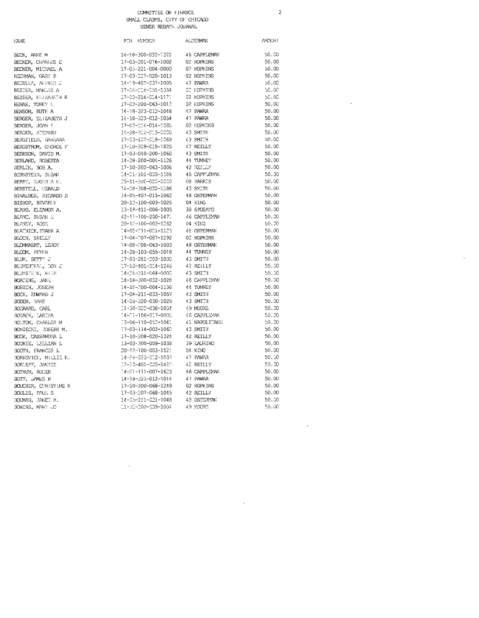### COMMITTEE ON FINANCE SMALL CLAIMS, CITY OF CHICAGO

SEWER REBATE JOURNAL

 $\overline{c}$ 

 $\hat{\boldsymbol{\beta}}$ 

 $\ddot{\phantom{a}}$ 

 $\sim$ 

 $\mathbb{R}^2$ 

| NAÆ                               |
|-----------------------------------|
| BECK, ANNE M                      |
| BECKER, CHARLES                   |
| BECKER, MICHAEL.                  |
| BECKMAN, GARY P                   |
| BEDELLA, ALERED                   |
| BEIDER, MARLYS A                  |
| BEISER, ELIZABET                  |
|                                   |
| BENAS, TOBEY I.<br>BENSON, RUTH A |
| BERGER, ELIZABET                  |
| BERGER, JOAN !                    |
| BERGER, STEPHAN                   |
| BERGFIELD, HARBA                  |
| BERGSTROM, GFORG                  |
| BERKSON, DAVID M                  |
| BERLAND, ROBERTA                  |
| BERLIN, BOB A.                    |
| BERNSTEIN, SUSAN                  |
| BERRY, EUGENIA E                  |
| BERSTELL, GERALD                  |
| BINALBER, RICARD                  |
| BISHOP, BEVERLY                   |
| BLAHO, ELEANOR A                  |
| BLANC, SUSAN E                    |
| BLANEY, ROSE                      |
| BLATNICK, FRANK A                 |
| BLOCH, SHELLY                     |
| BLOMMAERT, LEROY                  |
| BLOOM, PETER                      |
| BLUM, BETTY J                     |
| BLUMENTHAN, TON                   |
| BLUMSTEIN, RUIA                   |
| BOATENG, JANE                     |
| BOBICH, JOSEPH                    |

| 14-16-300-032-1322<br>46 CAPPLEMAN<br>BECK, ANNE M<br>BECKER, CHARLES E<br>17-03-201-076-1002<br>02 HOPKINS<br>BECKER, MICHAEL A<br>17-03-221-004-0000<br>02 HOPKINS<br>17-03-227-020-1013<br>BECKMAN, GARY P<br>02 HOPKINS<br>BEDELLA, ALERED J<br>14-19-407-037-1005<br>47 PAWAR<br>BEIDER, MARLYS A<br>17-04-218-051-1034<br>C2 HOPKINS<br>BEISER, ELEZABETH R<br>17-03-214-014-1171<br>02 HOPKINS | 50.00<br>50.00<br>50.00<br>50.00<br>50.00<br>50.00<br>50.00<br>50.00<br>50.00<br>50.00<br>50.00 |
|-------------------------------------------------------------------------------------------------------------------------------------------------------------------------------------------------------------------------------------------------------------------------------------------------------------------------------------------------------------------------------------------------------|-------------------------------------------------------------------------------------------------|
|                                                                                                                                                                                                                                                                                                                                                                                                       |                                                                                                 |
|                                                                                                                                                                                                                                                                                                                                                                                                       |                                                                                                 |
|                                                                                                                                                                                                                                                                                                                                                                                                       |                                                                                                 |
|                                                                                                                                                                                                                                                                                                                                                                                                       |                                                                                                 |
|                                                                                                                                                                                                                                                                                                                                                                                                       |                                                                                                 |
|                                                                                                                                                                                                                                                                                                                                                                                                       |                                                                                                 |
|                                                                                                                                                                                                                                                                                                                                                                                                       |                                                                                                 |
| BENAS, TOBEY L<br>17-03-200-063-1012<br>02 HOPKINS                                                                                                                                                                                                                                                                                                                                                    |                                                                                                 |
| 14-18-323-012-1048<br>47 PAWAR<br>BENSON, RUTH A                                                                                                                                                                                                                                                                                                                                                      |                                                                                                 |
| BERGER, ELIZABETH J<br>14-18-323-012-1054<br>47 PAWAR                                                                                                                                                                                                                                                                                                                                                 |                                                                                                 |
| BERGER, JOAN !<br>17-03-214-014-3085<br>02 HOPKINS                                                                                                                                                                                                                                                                                                                                                    |                                                                                                 |
| 14-28-322-015-0000<br>BERGER, STEPHAN<br>43 SMITH                                                                                                                                                                                                                                                                                                                                                     | 50.00                                                                                           |
| 17-03-107-019-1069<br>BERGFIELD, HARBARA<br>43 SMITH                                                                                                                                                                                                                                                                                                                                                  | 50.00                                                                                           |
| 42 REILLY<br>17-10-309-015-1825<br>BERGSTROM, GFORGE F                                                                                                                                                                                                                                                                                                                                                | 50.00                                                                                           |
| 43 SMITH<br>BERKSON, DAVID M.<br>17-03-040-200-1060                                                                                                                                                                                                                                                                                                                                                   | 50.00                                                                                           |
| BERLAND, ROBERTA                                                                                                                                                                                                                                                                                                                                                                                      | 50.00                                                                                           |
| BERLIN, 303 A.                                                                                                                                                                                                                                                                                                                                                                                        | 50.00                                                                                           |
| BERNSTEIN, SUSAN                                                                                                                                                                                                                                                                                                                                                                                      | 50.00                                                                                           |
| 25-11-300-020-0000<br>08 HARRES<br>BERRY, EUGENIA E.                                                                                                                                                                                                                                                                                                                                                  | 50.00                                                                                           |
| <b>13 SMITH</b><br>BERSTELL, GERALD<br>14-28-308-022-1186                                                                                                                                                                                                                                                                                                                                             | 50.00                                                                                           |
| BINALBER, RICARDO D<br>14-05-407-015-1062<br><b>48 OSTERMAN</b>                                                                                                                                                                                                                                                                                                                                       | 50.00                                                                                           |
| 04 KING<br>BISHOP, BEVERLY<br>20-12-100-003-1025                                                                                                                                                                                                                                                                                                                                                      | 50.00                                                                                           |
| 13-18-411-006-1005<br>38 SPOSATO<br>BLAHO, ELEANOR A.                                                                                                                                                                                                                                                                                                                                                 | 50.00                                                                                           |
| BLANC, SUSAN E<br>46 CAPPLEYAN<br>42-11-100-200-1471                                                                                                                                                                                                                                                                                                                                                  | 50.00                                                                                           |
| 20-12-100-003-1262<br>04 KING<br>BLANEY, ROSE                                                                                                                                                                                                                                                                                                                                                         | 50.30                                                                                           |
| 14-05-211-021-1125<br>18 OSTERMAN<br>BLATNICK, FRANK A                                                                                                                                                                                                                                                                                                                                                | 50.00                                                                                           |
| $17 - 04 - 007 - 087 - 1292$<br>BLOCH, SHELLY<br>02 HOPKINS                                                                                                                                                                                                                                                                                                                                           | 50.00                                                                                           |
| BLOMMAERT, LEROY<br>14-08-208-063-1003<br>48 OSTERMAN                                                                                                                                                                                                                                                                                                                                                 | 50.00                                                                                           |
| 14-28-103-055-1018<br>44 TUNNEY<br>BLOOM, PETER                                                                                                                                                                                                                                                                                                                                                       | 50.00                                                                                           |
| BLUM, BETTY J<br>17-03-281-203-1030<br>43 SMITH                                                                                                                                                                                                                                                                                                                                                       | 50.00                                                                                           |
| 17-10-401-014-1246<br>BLUMENTHAN, TON J<br>42 REILLY                                                                                                                                                                                                                                                                                                                                                  | 50.00                                                                                           |
| BLUMSTEIN, RUTA<br>$14 - 26 - 316 - 664 - 0000$<br>43 SMITH                                                                                                                                                                                                                                                                                                                                           | 50.00                                                                                           |
| BOATENG, JANE<br>14-16-300-032-1028<br>46 CAPPLEYAN                                                                                                                                                                                                                                                                                                                                                   | 50.00                                                                                           |
| 44 TUNNEY<br>BOBICH, JOSEPH<br>14-28-200-004-1136                                                                                                                                                                                                                                                                                                                                                     | 50.00                                                                                           |
| 43 SMITH<br>BOCK, EDWARD J<br>17-04-211-033-1057                                                                                                                                                                                                                                                                                                                                                      | 50.00                                                                                           |
| 43 SMITH<br>BODEN, HANS<br>14-28-320-030-1029                                                                                                                                                                                                                                                                                                                                                         | 50.00                                                                                           |
| $11 - 30 - 322 - 038 - 1034$ 49 MOORE<br>BOGAARD, CARL                                                                                                                                                                                                                                                                                                                                                | 50.00                                                                                           |
| BOGACH, LARESA<br>14-01-106-017-0000<br>46 CAPPLEYAN                                                                                                                                                                                                                                                                                                                                                  | 50.00                                                                                           |
| 13-06-110-052-1041<br>BOUTON, CHARLES M<br>41 NAPOLITANO                                                                                                                                                                                                                                                                                                                                              | 50.00                                                                                           |
| 43 SMITH<br>BONIECKI, JOSEPH M.<br>17-03-114-003-1060                                                                                                                                                                                                                                                                                                                                                 | 50.00                                                                                           |
| BOOK, CASSANDRA L<br>17-10-208-020-1324<br>42 REILLY                                                                                                                                                                                                                                                                                                                                                  | 50.00                                                                                           |
| BOOKIE, LILLIAN L<br>39 LAURINO<br>13-02-300-009-1038                                                                                                                                                                                                                                                                                                                                                 | 50.00                                                                                           |
| BOOTH, FRANCES L<br>20-12-100-003-1521<br>04 KING                                                                                                                                                                                                                                                                                                                                                     | 50.00                                                                                           |
| 14-18-323-012-1037<br>47 PAWAR<br>BORKOVICH, MILLIE K.                                                                                                                                                                                                                                                                                                                                                | 50.00                                                                                           |
| 17-10-401-005-1482<br>42 RETLLY<br>BORLEFF, JANICE                                                                                                                                                                                                                                                                                                                                                    | 50.00                                                                                           |
| $14 - 21 - 111 - 007 - 1623$<br>BOTHUN, ROUER<br><b>46 CAPPLEYAN</b>                                                                                                                                                                                                                                                                                                                                  | 50.00                                                                                           |
| 47 PAWAR<br>BOTT, JAMES R<br>14-18-323-012-1014                                                                                                                                                                                                                                                                                                                                                       | 50.00                                                                                           |
| BOUCHER, CHRISTINE H<br>17-10-200-068-1249<br>02 HOPKINS                                                                                                                                                                                                                                                                                                                                              | 50.00                                                                                           |
| BOULIS, PAUL S<br>17-03-207-068-1045<br>42 REILLY                                                                                                                                                                                                                                                                                                                                                     | 50.00                                                                                           |
| 48 OSTERMAN<br>BOUMAN, JANET M.<br>14-05-211-021-1048                                                                                                                                                                                                                                                                                                                                                 | 50.00                                                                                           |
| BOWERS, MAKY JO<br>11-32-200-039-1004<br>49 MOORE                                                                                                                                                                                                                                                                                                                                                     | 50.00                                                                                           |

 $\sim$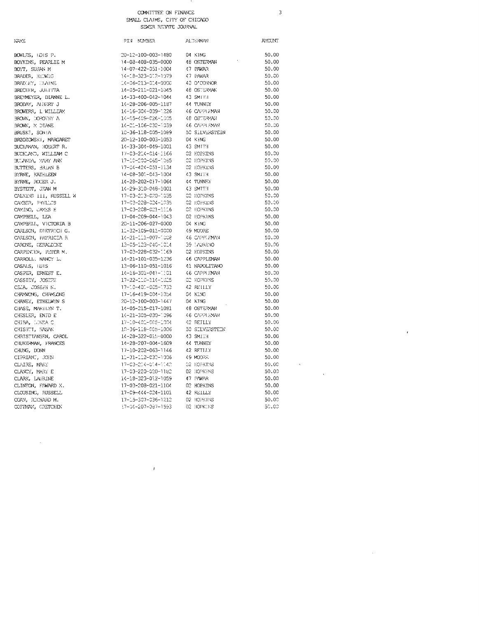## COMMITTEE ON FINANCE<br>WE CLAIMS, CITY OF CHICAGO

 $\sim$  3

 $\mathcal{L}^{\text{max}}_{\text{max}}$  and  $\mathcal{L}^{\text{max}}_{\text{max}}$ 

 $\label{eq:2.1} \mathcal{L}(\mathcal{L}^{\text{max}}_{\mathcal{L}}(\mathcal{L}^{\text{max}}_{\mathcal{L}})) \leq \mathcal{L}(\mathcal{L}^{\text{max}}_{\mathcal{L}}(\mathcal{L}^{\text{max}}_{\mathcal{L}}))$ 

|                      |  | SMALL CLAIMS, CITY OF CHICAG |
|----------------------|--|------------------------------|
| SEWER REBATE JOURNAL |  |                              |

| NAYS                   | PIN MUBER                    | <b>ALDERMAN</b> | <b>AYOUNT</b> |
|------------------------|------------------------------|-----------------|---------------|
| BOWLES, IDIS P.        | 20-12-100-003-1480           | 04 KING         | 50.00         |
| BOYKINS, PEAPLIE M     | 14-08-408-035-0000           | 48 OSTERMAN     | 50.00         |
| BOYT, SUSAN M          | 14-07-422-051-1004           | 47 PAWAR        | 50.00         |
| BRADER, HEDWIG         | 14-18-323-012-1079           | 47 PAWAR        | 50,00         |
| BRADIEY, HEATAE        | 14-06-213-014-0000           | 40 O'CONNOR     | 50.00         |
| BRECHER, JULITTA       | 14-05-211-021-1045           | 48 OSTERMAN     | 50.00         |
| BREYMEYER, DIANNE L.   | 14-33-400-042-1044           | 43 SMITH        | 50.00         |
| BRODAY, ALBERT J       | 14-28-206-005-1187           | 44 TUNNEY       | 50.00         |
| BROWERS, L WILLIAM     | 14-16-304-039-1226           | 46 CAPPLEMAN    | 50.00         |
| BROWN, DOROTHY A       | 14-05-409-026-1005           | 48 OSTERVAN     | 50.00         |
| BROWN, M DIANE         | 14-21-106-032-1039           | 46 CAPPLEMAN    | 50.00         |
| BRUSK!, SON!A          | 10-36-118-005-1089           | 50 SILVERSTEIN  | 50.00         |
| BRZOZOWSKI, MARGARET   | 20-12-100-003-1053           | 04 KING         | 50.00         |
| BUCHANAN, ROBERT R.    | 14-33-304-049-1001           | 43 SMITH        | 50.00         |
| BUCKLAND, WILLIAM C    | 17-03-214-014-1166           | 02 HOPKINS      | 50.00         |
| BULANDA, MARY ANN      | 17-10-200-065-1085           | 02 HOPKINS      | 50,00         |
| BUTTERS, BRIAN B       | 17-04-424-051-1134           | 02 HOPKINS      | 50.00         |
| BYRNE, KATHLEEN        | 14-08-301-043-1004           | 43 SMITH        | 50.00         |
| BYRNE, ROCER J.        | 14-28-202-017-1064           | 44 TUNNEY       | 50.00         |
| BYSTEDT, JEAN M        | 14-29-310-048-1001           | 43 SMTTH        | 50.00         |
| CALKINS 111, RUSSELL W | 17-03-213-020-1035           | 02 HOPKINS      | 50.00         |
| CAYBER, PHYLLIS        | 17-03-228-024-1035           | 02 HOPKINS      | 50.00         |
| CAMINO, JAMES H        | 17-03-208-021-1116           | 02 HOPKINS      | 50.00         |
| CAMPBELL, LEA          | 17-04-209-044-1043           | 02 HOPKINS      | 50.00         |
| CAMPBELL, VICTORIA B   | 20-11-206-027-0000           | 04 KING         | 50.00         |
| CARLSON, DIETRICH G.   | 11-32-109-011-0000           | 49 MOORE        | 50.00         |
| CARLSON, PATRICIA R    | 14-21-111-007-1008           | 46 CAPPLEMAN    | 50.00         |
| CARONE, GERALDINE      | 13-05-123-040-1014           | 39 EAURENO      | 50.00         |
| CARPENTER, PETER M.    | $17 - 03 - 228 - 032 - 169$  | 02 HOPKINS      | 50.00         |
| CARROLL. NANCY L.      | 14-21-101-035-1236           | 46 CAPPLEMAN    | 50.00         |
| CASALS, INIS           | 13-06-110-051-1016           | 41 NAPOLITANO   | 50.00         |
| CASPER, ERNEST E.      | $14 - 16 - 301 - 041 - 1301$ | 46 CAPPLEMAN    | 50.00         |
| CASSIDY, JOSEPH        | 17-22-110-114-1025           | OD HOPKINS      | 59.00         |
| CEJA, JOSEPH N.        | 17-10-401-005-1733           | 42 REHLLY       | 50.00         |
| CHAMMONG, CHAMEONG     | 17-16-419-004-1054           | 04 KING         | 50.00         |
| CHANEY, ETHELWIN S     | 20-12-100-003-1447           | 04 KING         | 50.00         |
| CHASE, MARIEYN T.      | 14-05-215-017-1081           | 48 OSTERVAN     | 50.00         |
| CHESLER, ENID E        | 14-21-305-030-1096           | 46 CAPPLEMAN    | 50.00         |
| CHIBA, LUNDA C         | 17-10-401-005-1004           | 42 REJLLY       | 50.00         |
| CHISHTI, HASAN         | 10-36-118-005-1006           | 50 SILVERSTEIN  | 50.00         |
| CHRISTIANSEN, CAROL    | 14-28-322-015-0000           | 43 SMITH        | 50.00         |
| CHUKERMAN, HRANCES     | 14-28-207-004-1609           | 44 TUNNEY       | 50.00         |
| CHUNG, DONN            | 17-10-202-063-1146           | 42 REILLY       | 50.00         |
| CIPRIANI, JOHN         | 11-31-112-032-1006           | 49 MODES        | 50.00         |
| CLAIRE, MARY           | 17-03-204-014-1142           | 02 HOPKINS      | 50.00         |
| CLANCY, MARY E         | 17-03-220-020-1182           | 02 HOPKINS      | 50.00         |
| CLARK, LAURINE         | 14-18-323-012-1059           | 47 PAWAR        | 50.00         |
|                        | 17-03-208-021-1104           | 02 HOPKINS      | 50.00         |
| CLINTON, EDWARD X.     |                              |                 |               |
| CLOUSING, RUSSELL      | 17-09-444-024-1101           | 42 REILLY       | 50.00         |
| COAN, RICHARD M.       | 17-15-307-036-1212           | 02 HOPKINS      | 50.00         |
| COFFMAN, GRETCHEN      | 17-04-207-087-1593           | 02 HOPKINS      | 50.00         |
|                        |                              |                 |               |

 $\label{eq:2.1} \mathbf{F} = \mathbf{F} \mathbf{F} + \mathbf{F} \mathbf{F} + \mathbf{F} \mathbf{F} + \mathbf{F} \mathbf{F} + \mathbf{F} \mathbf{F} + \mathbf{F} \mathbf{F} + \mathbf{F} \mathbf{F} + \mathbf{F} \mathbf{F} + \mathbf{F} \mathbf{F} + \mathbf{F} \mathbf{F} + \mathbf{F} \mathbf{F} + \mathbf{F} \mathbf{F} + \mathbf{F} \mathbf{F} + \mathbf{F} \mathbf{F} + \mathbf{F} \mathbf{F} + \mathbf{F} \mathbf$ 

 $\label{eq:2.1} \frac{1}{\sqrt{2}}\int_{\mathbb{R}^3} \frac{1}{\sqrt{2}}\left(\frac{1}{\sqrt{2}}\right)^2\left(\frac{1}{\sqrt{2}}\right)^2\left(\frac{1}{\sqrt{2}}\right)^2\left(\frac{1}{\sqrt{2}}\right)^2\left(\frac{1}{\sqrt{2}}\right)^2.$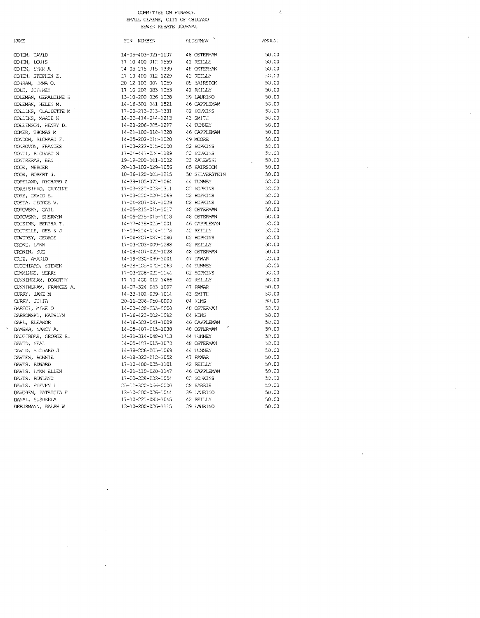$\overline{4}$ 

 $\hat{\mathcal{A}}$ 

| NAME                   | PIN NUÆER                                                                       | <b>FLOERMAN</b> | AMOUNT |
|------------------------|---------------------------------------------------------------------------------|-----------------|--------|
| COHEN, DAVID           | 14-05-403-021-1137                                                              | 48 OSTERMAN     | 50.00  |
| COHEN, LOUIS           | 17-10-400-012-1559                                                              | 42 REILLY       | 50.00  |
| COHEN, LYNN A          | $-14 - 05 - 215 - 015 - 1339$                                                   | 48 OSTERYAN     | 50.00  |
| COHEN, STEPHEN Z.      | 17-10-400-012-1229                                                              | 42 REILLY       | 50.00  |
| COHRAN, HAMA O.        | 20-12-102-007-1059                                                              | 05 HAIRSTON     | 50.00  |
| COLE, JEFFREY          | 17-10-202-083-1053                                                              | 42 REILLY       | 50.00  |
| COLEMAN, GERALDINE B   | 13-10-200-026-1028                                                              | 39 LAURINO      | 50.00  |
| COLEMAN, HELEN M.      | 14-16-301-041-1521                                                              | 46 CAPPLEYAN    | 50.00  |
| COLLINS, CLAUDETTE M   | 17-03-215-013-1331                                                              | 02 HOPKINS      | 50.00  |
| COLLINS, MARIE K       | 14-33-414-044-1213                                                              | 43 SMITH        | 50.00  |
| COLLINSON, HENRY D.    | 14-28-206-005-1297                                                              | 44 TUNNEY       | 50.00  |
| COMER, THOMAS M        | 14-21-100-018-1328                                                              | 46 CAPPLEMAN    | 50.00  |
| CONDON, RICHARD F.     | 14-05-202-018-1020                                                              | 49 MOOPE        | 50.00  |
| CONSOVOY, FRANCES      | 17-03-222-015-0000                                                              | 02 HOPKINS      | 50.00  |
| CONTI, KICHARD N       | 17-04-441-004-1289                                                              | 02 HOPKINS      | 50,00  |
| CONTRERNS, BEN         | 19-19-200-061-1002                                                              | 23 ZALEWSKI     | 50.00  |
| COOK, MERCER           | 20-13-102-029-1056                                                              | 05 FAIRSTON     | 50.00  |
| COOK, ROBERT J.        | 10-36-120-003-1215                                                              | 50 SILVERSTEIN  | 50.00  |
| COPELAND, RICHARD Z    | 14-28-105-072-1064                                                              | 44 TUNNEY       | 50.00  |
| COREIS!FRO, CARYINE    | 17-03-222-003-1351                                                              | CC HOPKINS      | -50.00 |
| CORY, DAVID E.         | 17-03-220-020-1069                                                              | 02 HOPKINS      | 50.00  |
| COSTA, GEORGE V.       | 17-04-207-087-1029                                                              | C2 HOPKINS      | 50.00  |
| COTOVSKY, GAIL         | 14-05-215-015-1017                                                              | 48 OSTERMAN     | 50.00  |
| COTOVSKY, SHERWYN      | 14-05-215-015-1018                                                              | 48 OSTERMAN     | 50.00  |
| COUSINS, BERTHA T.     | 14-17-418-025-1001                                                              | 46 CAPPLEMAN    | 50.00  |
| COUTELLE, DEE 5 J      | 17-03-204-004-0078                                                              | 42 REILLY       | 50.00  |
| CONDREY, GEORGE        | 17-04-207-087-1080                                                              | C2 HOPKINS      | 50.00  |
| CROKE, LYNN            | 17-03-203-009-1288                                                              | $42$ REILLY     | 50.00  |
| CRONIN, SUE            | 14-08-407-022-1028                                                              | 48 OSTERMAN     | 50.00  |
| CRUZ, AMARIO           | 14-19-230-039-1001                                                              | 47 PAWAR        | 50.00  |
| CUCCHIARO, STEVEN      | 14-28-105-072-1063                                                              | . 44 TUNNEY     | 50.00  |
| CUMMINGS, BERRY        | 17-03-208-021-1144                                                              | 02 HOPKINS      | 50.00  |
| CUNNINCHAM, DOROTHY    | 17-10-400-012-1466 42 REILLY                                                    |                 | 50.00  |
| CUNNINGHAM, FRANCES A. | 14-07-324-043-1007                                                              | 47 PAWAR        | 50.00  |
| CURRY, JANE M          | 14-33-102-039-1014                                                              | 43 SMITH        | 50.00  |
| CURRY, JULIA           | 20-11-206-058-0000                                                              | $04 \times ING$ | -50.00 |
| DABICI, MIKE O         | 14-08-408-035-0000                                                              | 48 OSTERVAN     | -50.00 |
| DABROWSKI, KATHLYN     | 17-16-423-002-1092                                                              | C4 KING         | 50.00  |
| DAHL, ELEANOR          | 14-16-301-041-1009                                                              | 46 CAPPLEMAN    | 50.00  |
| D/MBRA, NANCY A.       | 14-05-407-015-1038                                                              | 48 OSTERMAN     | 50.00  |
| DAUGIRDAS, GEORGE S.   | 14-21-314-048-1713                                                              | 44 TUNNEY       | 50.00  |
| DAVID, NEAL            | 14-05-407-015-1070                                                              | 48 OSTERMAN     | -50.00 |
| DAVID, RICHARD J       | 14-28-006-005-1069                                                              | 44 TUNNEY       | 50,00  |
| DAVIES, BONNIE         | 14-18-323-012-1052                                                              | 47 PAWAR        | 50.00  |
| DAVIS, EDWARD          | 17-10-400-035-1101                                                              | 42 REILLY       | 50.00  |
| DAVIS, EYNN ELLEN      | 14-21-110-020-1147                                                              | 46 CAPPLEMAN    | 50.00  |
| DAVIS, ROWLAND         | 17-03-228-032-1054                                                              | CC HOPKINS      | 50.00  |
| DAVIS, STEVEN L        | 05-31-300-036-0000                                                              | 08 FARRIS       | -50.00 |
| DAVOREN, PATRICIA E    | 05-11-300-000 0<br>13-10-200-006-1044 09 (Australian<br>100 000-0065 042 REILLY | 39 : AURTNO     | 50.00  |
| DAYAL, SUSHEELA        |                                                                                 |                 | 50.00  |
| DEBUSMANN, RALPH W     | 13-10-200-026-1115                                                              | 39 FAURINO      | 50.00  |
|                        |                                                                                 |                 |        |
|                        |                                                                                 |                 |        |

 $\epsilon$ 

#### $\,$  N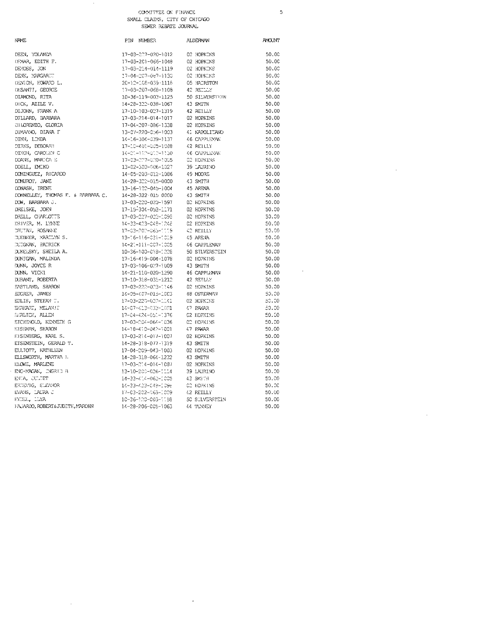### COMMITTEE ON FENANCE SMALL CLAIMS, CITY OF CHICAGO

 $\overline{5}$ 

**AMOUNT** 

 $50.00$ 

 $50.00$ 

 $50.00$  $50.00$ 

 $50.00$ 

 $50.00$ 

 $50.00$ 

 $50.00$ 

 $50.00$ 

 $50.00$ 

 $50.00$ 

 $50.00$  $50.00$ 

 $50.00$ 

 $50.00$ 

 $50.00$  $50.00$ 

 $50.00$ 

 $50.00$ 

 $50.00$  $50.00$ 

 $50.00$ 

 $50.00$ 

50.00

 $50.00$ 

50.00

50.00

 $50.00$ 

 $50.00$  $50.00$ 

 $50.00$ 

 $50.00$ 

 $50.00$ 

 $50.00$  $50,00$ 

 $50.00$ 

50.00

 $50.00$ 

 $50.00$  $50.00$ 

 $50.00$  $50.00$ 

 $50.00$ 

 $50.00$ 50.00

 $50.00$ 

50.00

 $50.00$ 

50.00

 $50.00$ 

50.00

l,

SEWER REBATE JOURNAL

J.

| <b>NAME</b>                                       | PIN NUMBER                   | ALDERWN         |
|---------------------------------------------------|------------------------------|-----------------|
| NGINA ICY , KEEC                                  | 17-03-227-020-1012           | 02 HOPKINS      |
| DEMAR, EDITH F.                                   | 17-03-201-066-1048           | 02 HOPKINS      |
| DEMOSS, JON                                       | 17-03-214-014-1119           | 02 HOPKINS      |
| DENK, MARGARET                                    | 17-04-207-087-1130           | 02 HOPKENS      |
| DENTON, HOWARD L.                                 | 20-12-168-039-1118           | 05 HALRSTON     |
| DESANTI, GEORCE                                   | 17-03-207-068-1108           | 42 REDDY        |
| DLAMOND, RITA                                     | 10-36-119-003-1125           | 50 SILVERSTEIN  |
| DICK, AZILE V.                                    | 14-28-322-038-1067           | 43 SMITH        |
| DIJOHN, FRANK A                                   | 17-10-103-027-1319           | 42 REILLY       |
| DJLLARD, BARBARA                                  | 17-03-214-014-1017           | 02 HOPKINS      |
| DILORENZO, GLORIA                                 | 17-04-207-086-1338           | 02 HOPKINS      |
| DIMAANO, DIANA F                                  | 13-07-220-056-1003           | 41 NAPOLITANO   |
| DINN, LINDA                                       | 14-16-304-039-1137           | 46 CAPPLEMAN    |
| DIRKS, DEBORAH                                    | 17-10-401-005-1088           | 42 REILLY       |
| DIXON, CAROLAN C                                  | 14-01-112-012-1130           | 46 CAPPLEYAN    |
| DOANE, MARICA E                                   | 17-03-227-020-1005           | 02 HOPKINS      |
| DOELI, EMIKO                                      | 13-02-300-006-1027           | 39 LAURINO      |
| DOMINGUEZ, RICARDO                                | 14-05-203-012-1086           | 49 MOORE        |
| DOMUROT, JANE                                     | 14-28-322-015-0000           | 43 SMITH        |
| DONASH, IRENE                                     | 13-16-122-045-1004           | 45 ARENA        |
| DONNELLEY, THOMAS F. & PARRARA C.                 | 14-28-322 015 0000           | 43 SMITH        |
| DOW, BARBARA J.                                   | 17-03-220-020-1597           | 02 HOPKINS      |
| DREISKE, JOEN                                     | 17-15-304-052-1171           | 02 HOPKINS      |
| DRELL, CHARLOTTE                                  | 17-03-227-022-1098           | 02 HOPKINS      |
| DRIVER, M. LYNNE                                  | 14-33-403-048-1048           | 02 HOPKINS      |
| DRUTAN, ROSANKE                                   | 17-03-202-065-1119           | 42 REILLY       |
| DUEBNER, MARILYN S.                               | 13-16-116-031-1019           | 45 ARENA        |
| DUIGNAN, PAIRICK                                  | 14-21-111-007-1005           | 46 CAPPLEMAN    |
| DUKELSKY, SHEILA A.                               | 10-36-100-018-1228           | 50 STLVERSTEIN  |
| DUNIGAN, MALINDA                                  | 17-16-419-004-1078           | 02 HOPKINS      |
| DUNN, JOYCE R                                     | 17-03-106-027-1009           | 43 SM1TH        |
| DUNN, VICKI                                       | 14-21-110-020-1290           | 46 CAPPI J: MAN |
| DURANT, ROBERTA                                   | 17-10-318-031-1212           | 42 RETLEY       |
| <b>EASTLAND, SHARON</b>                           | 17-03-222-023-1146           | 02 HOPKINS      |
| EDGRER, JAMES                                     | 14-05-407-015-1003           | 48 OSTERMAN     |
| EDLIS, STEFAN T.                                  | 17-03-220-020-1141           | 02 HOPKINS      |
| EHRHART, MELANUE                                  | 14-07-413-033-1001           | 47 PAWAR        |
| SERLICH, ALLEN                                    | 17-04-424-051-1376           | C2 HOPKINS      |
| EICHENOLD, KENNETH G                              | 17-03-004-064-1036           | C2 HOPKINS      |
| EISEMAN, SHARON                                   | 14-18-410-042-1001           | 47 PAWAR        |
| FISENBERG, KARL S.                                | 17-03-214-017-1007           | 02 HOPKINS      |
| EISENSTEIN, GERALD T.                             | 14-28-318-077-1319           | 43 SMITH        |
| ELLIOTT, KATHLEEN                                 | 17-04-209-043-1003           | 02 HOPKINS      |
| ELLSWORTH, MARTHA 1.                              | 14-28-318-064-1232           | 43 SMITH        |
| <b>FLOWE, MARLENE</b>                             | 17-03-214-014-1087           | 02 HOPKINS      |
| ${\sf ENC\text{-}MAGAN}_\ell$ , ${\sf INGRID\_B}$ | 13-10-200-026-1114           | 39 LAURINO      |
| ENTA, CULTET                                      | 14-33-414-062-1005           | 43 SMITH        |
| ERDEVIG, ELEANOR                                  | 14-33-423-048-1096           | CO HOPKINS      |
| EVANS, LAURA J                                    | 17-03-202-063-1009           | 42 REILLY       |
| FNDEL, LLYA                                       | 10-36-120-003-1159           | 50 SILVERSTEIN  |
| FAJARIXO, ROBERT&JUDETE, MARCHN                   | 14-28-206-005-1063 44 TUNNEY |                 |
|                                                   |                              |                 |

 $\bar{\beta}$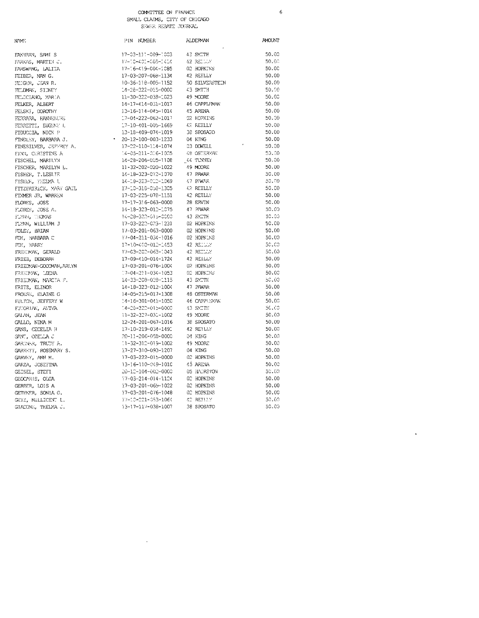$\epsilon$ 

 $\ddot{\phantom{a}}$ 

| NAME:                   | PIN NUMBER                   | <b>ALDERMAN</b> | <b>AMOUNT</b> |
|-------------------------|------------------------------|-----------------|---------------|
| FAX-IRAN, SAMI S        | 17-03-111-009-1003           | 43 SMITH        | 50.00         |
| FARKAS, MARTIN J.       | 17-10-401-005-1414           | 42 RELUM -      | 50.00         |
| FARSWANG, LALITA        | 17-16-419-004-1085           | 02 HOPKINS      | 50.00         |
| FEIBER, NAN G.          | 17-03-207-068-1134           | 42 REILLY       | 50.00         |
| FEIGER, JEAN R.         | 10-36-118-005-1152           | 50 SILVERSTEIN  | 50.00         |
| FELDMAN, SIDNEY         | 14-28-322-015-0000           | 43 SMITH        | 50.00         |
| FELICIANO, MARIA        | 11-30-322-038-1023           | 49 MOORE        | 50.00         |
| FELKER, ALBERT          | 14-17-414-031-1017           | 46 CAPPLEMAN    | 50.00         |
| FELSKI, DOROTHY         | 13-16-114-045-1014           | 45 ARENA        | 50.00         |
| FERRARA, HANNELURE      | 17-04-222-062-1017           | 02 HOPKINS      | 50.00         |
| FERRETTI, EUGENE L      | 17-10-401-005-1669           | 42 REILLY       | 50.00         |
| FIDUCCIA, NICK P        | 13-18-409-074-1019           | 38 SPOSATO      | 50.00         |
| FINDLEY, BARBARA J.     | $\cdot$ 20-12-100-003-1233   | 04 KING         | 50.00         |
| FINESILVER, JEFFREY A.  | 17-22-110-114-1074           | 03 DOWELL       | 50.00         |
| FINN, CERESTINE A       | 14-05-211-016-1005           | 48 OSTERMAN     | 50.00         |
| FISCHEL, MARILYN        | 14-28-206-005-1108           | 44 TUNNEY       | 50.00         |
| FISCHER, MARILYN L.     | 11-32-202-020-1022           | 49 MOORLE       | 50.00         |
| FISHER, T. LESLIE       | 14-18-323-012-1070           | 47 PAWAR        | 50.00         |
| FISHER, THEIMA L        | 14-18-323-012-1069           | 47 PAWAR        | 50.00         |
| FITZPATRICK, MARY GAIL  | 17-10-318-058-1305           | 42 REILLY       | 50.00         |
| FIXMER JR, WARKEN       | 17-03-225-078-1151           | 42 REILLY       | 50.00         |
| FLORES, JOSS            | 17-17-316-063-0000           | 28 ERVIN        | 50.00         |
| FLORES, JOSE A.         | 14-18-323-012-1075           | 47 PAWAR        | 50.00         |
| FLYNN, THOMAS           | 14-28-322-615-0000           | 43 SMITH        | 50.00         |
| FLYNN, WILLIAM J        | 17-03-222-023-1231           | 02 HOPKINS      | 50.00         |
| FOLEY, BRIAN            | 17-03-201-063-0000           | 02 HOPKINS      | 50.00         |
| FOX, HARBARA C          | 17-04-211-034-1016           | 02 HOPKINS      | 50.00         |
| FOY, HARRY              | 17-10-400-012-1453           | 42 RELUMI       | 50.00         |
| FREEDMAN, GERALD        | 17-03-202-063-1043           | 42 RETLLY       | 50.00         |
| FRIEB, DEBORAH          | 17-09-410-014-1724           | 42 REILLY       | 50.00         |
| FRIEDMAN-GOODMAN, ARLYN | 17-03-201-076-1004           | 02 HOPKINS      | 50.00         |
| FRIEDWAN, LECNA         | $77 - 04 - 211 - 034 - 1053$ | 02 HOPKINS      | 50.00         |
| FRIEDMAN, MARCIA F.     | 14-33-208-028-1115           | 43 SYLTH        | 50.00         |
| FRITZ, ELINOR           | 14-18-323-012-1004           | 47 PAWAR        | 50.00         |
| FROESE, ELAINE C        | 14-05-215-017-1308           | 48 OSTERMAN     | 50.00         |
| FULTON, JEFFERY W       | 14-16-301-041-1050           | 46 CAPPLEMAN    | 50.00         |
| FUTORIAN, AVIVA         | 14-28-322-015-0000           | 43 SYITH        | 50.00         |
| GAI AN, JEAN            | 11-32-327-031-1002           | 19 YOORE        | 50.00         |
| GALLO, NINA M           | 12-24-201-067-1016           | 38 SPOSATO      | 50.00         |
| GANS, CECELIA H         | 17-10-219-034-1491           | 42 REILLY       | 50.00         |
| GANT, OZELLA J          | 20-11-206-058-0000           | 04 KING         | 50.00         |
| GARDNER, TRUDY A.       | 1-32-312-019-1002            | 49 MOORE        | 50.03         |
| GARRETT, ROSEMARY S.    | 17-27-310-093-1207           | 04 KING         | 50.00         |
| GARVEY, ANN M.          | 17-03-222-015-0000           | 02 HOPKINS      | 50.00         |
| GARZA, JOSEFINA         | 13-16-110-049-1010           | 45 ARENA        | 50.03         |
| GEISEL, STEFI           | 20-12-104-002-0000           | 05 HALRSTON     | 50.00         |
| GEOCARIS, OLGA          | 17-03-214-014-1124           | 02 HOPKINS      | 50.00         |
| GEREER, LOIS A          | 17-03-201-069-1022           | 02 HOPKINS      | 50.00         |
| GETHNER, SONLA G.       | 17-03-201-076-1048           | 02 HOPKINS      | 50.00         |
| GETZ, MILLICENT L.      | 17-10-221-053-1064           | 42 REJULY       | 50.00         |
| GIACONE, THELMA J.      | 13-17-117-038-1007           | 38 SPOSATO      | 50.00         |
|                         |                              |                 |               |
|                         |                              |                 |               |

 $\mathcal{L}^{\text{max}}_{\text{max}}$  and  $\mathcal{L}^{\text{max}}_{\text{max}}$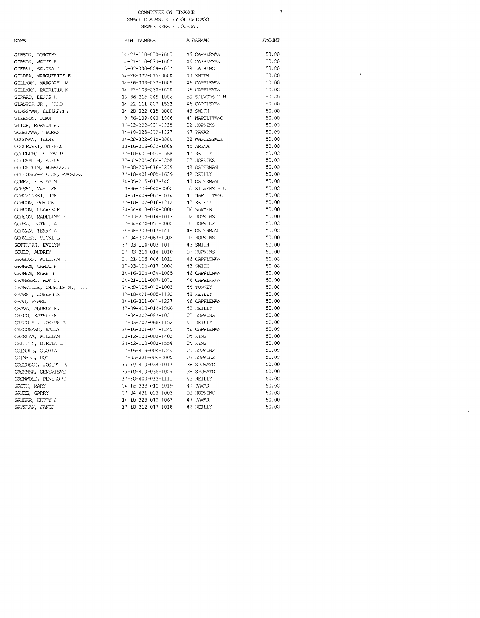**ALDERMAN AMOUNT NAME** PIN NUMBER  $14 - 21 - 110 - 020 - 1605$ 46 CAPPLEWW 50.CO GIBSON, DOROTHY CIBSON, WAYNE R.  $14 - 21 - 110 - 020 - 1602$ 46 CAPPLEMAN  $50,00$ GIERKF, SANDRA J.  $13 - 02 - 300 - 009 - 1037$ 39 LAURINO  $50.00$ GILDEA, MARGUERITE E 14-28-322-015-0000 43 SMITH 50.CO GILLMAN, MARGARET M 14-16-303-037-1005 46 CAPPLEMAN 50.00 14 - 21-103-030-1020 46 CAPPLEMAN 50.00 GILLMAN, PATRICIA N GIRARO, DENIS L 10-36-218-045-1006 50 SULVERSTRIN  $50.00$ GLASPER JR.,  $\mathbb{P}\mathbb{R}\mathbb{C}$ 46 CAPPLEMAN 14-21-111-007-1532 50.00 GLASSMAN, ELIZABETH 14-28-322-015-0000 43 SM1TH  $50.00$ GLEESON, JOAN 9-36-109-040-1006 41 NAPOLITANO 50.00 17-03-208-023-1035 GLICK, MARVIN H. **C2 HOPKINS** 50.00  $\sqrt{7}$  PAWAR GOBETWW, THOMAS 14-18-323-012-1027 60.00 50.00 GOC: MAN, ILENE 14-28-322-015-0000 32 WAGUESPACK 13-16-216-032-1009 45 ARENA 50.00 GODLEWSKI, STEFAN 17-10-401-005-1568 GOUDBERG, S DAVID 42 BETICY 50.00 GOUDSMITH, ADELE 17-03-204-064-1058 C2 HOPKINS 50.00 GOLDSTEIN, ROSELLE  $\bar{z}$ 14-08-203-016-1219 48 OSTERMAN 50.00 42 BETLEY GOLLOGLY-FIELDS, MADELEN 17-10-401-005-1639  $50.00$  $14 - 05 - 215 - 017 - 1481$ **48 OSTERMAN** 50.00 GOMEZ, ELEIDA M  $10 - 36 - 206 - 040 - 0000$ 50 SILVERSTEIN  $50.00$ GONSKY, MARILYN CORCZYNSKI, JAN  $10 - 31 - 409 - 062 - 1014$ 41 NAPOLITANO 50.00 GORDON, BURTON  $17 - 10 - 107 - 016 - 1212$ 42 REILLY 50.00 06 SAWYER 50.00 GORDON, CLARENCE 20-34-413-024-0000 02 HOPKINS 50.00 GORDON, MADELINE B  $17 - 03 - 214 - 014 - 1013$  $17 - 04 - 424 - 051 - 0000$ OC HOPKINS GORKA, PATRICIA 50.00 CORMAN, TERRY A 14-08-203-017-1412 48 OSTERMAN 50.00 17-04-207-087-1302 02 HOPKINS 50.00 GORMLEY, VICKI L GOTTLIEB, EVELYN  $\frac{17}{100}$  -03-114-003-1011 43 SMITH  $50.00$ 02 HOPKINS COULD, AUDREY  $17 - 03 - 214 - 014 - 1010$ 50.00 GRABURW, WILLTAM L 14-21-106-046-1011 46 CAPPLEM/W  $50.00$ 17-03-104-017-0000 45 SMITH  $50.00$ GRAEAM, CAROL H 14-16-304-039-1085 46 CAPPLEMAN 50.00 GRAHAM, MARK I!  $14 - 21 - 111 - 007 - 1071$  $4.6\,$  CAPPLEMAN  $50.00$ GRANBERG, ROY C. 14-28-105-072-1003  $44\,$  TUNNEY 50.00 GRANVILLE, CHARLES N., ITT GRASST, JOSEPH X. 17-10-401-005-1190 42 RETLLY 50.00 50.00 GRAU, PFARL  $14 - 16 - 301 - 041 - 1227$ 46 CAPPLEMAN 17-09-410-014-1866  $A^{\infty}$  RETLLY  $50.00$ GRAVA, AUDREY F. GRECO, KATHLEEN 17-04-207-087-1031 CP HOPKINS  $50.00$ GREGOIRE, JOSEPH A 17-03-207-068-1152 42 REILLY  $50.00$ GREGOS/NC, SALLY  $34 - 16 - 301 - 043 - 1340$ 46 CAPPLEMAN 50.00 GRESHAM, WILLIAM 20-12-100-003-1402  $04$  KING 50.00  $\texttt{GRTFFIN}, \texttt{BIFDLA} \bot$ 20-12-100-003-1558 04 KING 50.00 GRINDLE, GLORIA  $17 - 16 - 419 - 004 - 1244$ 02 HOPKINS 50.00 02 HOPKINS  $-7 - 03 - 221 - 004 - 0000$ 50.00 GRINKER, ROY GROBOSCH, JOSEPH P.  $13 - 18 - 410 - 034 - 1017$ 38 SFOSATO  $50.00$ GROENER, GENEVIEVE  $13 - 18 - 410 - 035 - 1024$ 38 SFOSATO  $50.00$ GRONWOLD, PENELOPE  $17 - 10 - 400 - 012 - 1111$ 42 REILLY 50.00 GROTH, MARY 14 18-323-012-1019  $47$  PAWAR  $50.00$  $17 - 04 - 431 - 023 - 1003$ GRUBE, GARRY 02 HOPKINS 50.00 14-18-323-012-1067 47 PAWAR  $50.00$ GRUBER, BETTY J 17-10-312-017-1018 42 REILLY 50.00 GRYZLAK, JANET

#### $\overline{7}$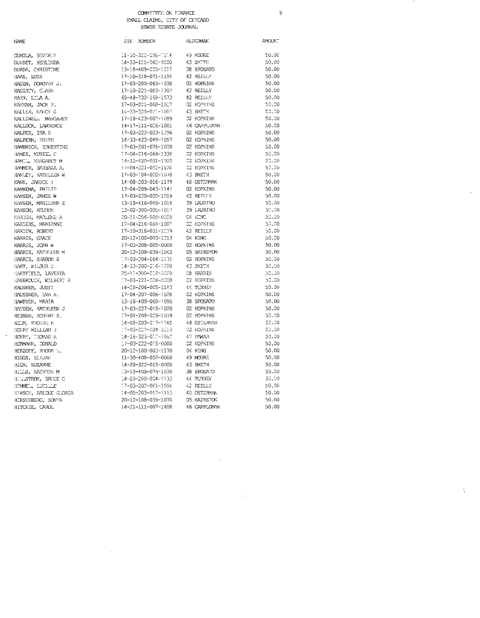PIN NUMBER

**ALDERMAN** 

 $\,$   $\,$   $\,$ 

 $\bar{1}$ 

 $\chi$ 

 $\text{AVOUN}^ 50.00$  $50.00$  $50.00$  $50.00$  $50.00$ 50.00 50.00  $50.00$ 50.00  $50.00$  $50.00$  $50.00$  $50.00$  $50.00$  $50.00$  $50.00$ <br> $50.00$  $50.00$  $50.00$  $50.00$ 

 $50.00$ 50.00  $50.00$ 50,00  $50.00$  $50,00$  $50.00$  $50.00$  $50.00$  $50,00$ 50.00  $50.00$ <br> $50.00$  $50.00$  $50.00$  $50.00$  $50.00$  $50, 00$  $50.00$ <br> $50.00$ 

50.00  $50.00$  $50.00$  $50.00$  $50.00$  $50.00$ 50.00  $50,00$  $50.00$  $50.00$  $50.00$ 

 $\sim$ 

 $\sim$ 

| <b>JUMOLA, BEVERLY</b>   | 11-30-322-038-1014           | 49 MOORE               |
|--------------------------|------------------------------|------------------------|
| GUNSET, HERLINDA         | 14-33-121-062-0000           | 43 SMTTH               |
| GURDA, CHRISTINE         | 13-18-409-033-1017           | 38 SPOSATO             |
| HAS, LOIS                | 17-10-318-031-1104           | 42 REILLY              |
| HAGEN, DOROTHY J.        | 17-03-200-063-1038           | 02 HOPKINS             |
| HAGERTY, CLARK           | 17-10-221-083-1307           | 42 REILLY              |
| HAHN, LILA A.            | 65-48-732-168-1573           | 42 REILLY              |
| HARYAN, JACK P.          | 17-03-201-068-1027           | 02 HOPKINS             |
| <b>HALLER, KAKCY G</b>   | 14-33-325-071-1007           | 43 SMITH               |
| FALLIWELL MARGARET       | 17-16-423-002-1099           | 02 HOPKINS             |
| <b>HALLOCK, LAWRENCE</b> | 14-17-111-026-1001           | 46 CAPPLEYAN           |
| HALPER, IRA S            | 17-03-222-023-1296           | 02 HOPKINS             |
| HALPERN, EDITH           | 14-33-423-048-1097           | 02 HOPKINS             |
| HAMBRICK, ERNESTINE      | 17-03-201-076-1020           | C <sub>2</sub> HOPKINS |
| HAMES, MURIEL C          | 17-04-216-064-1338           | 02 HOPKINS             |
| HAMIL, MARGARIT M        | 34-33-420-051-1003           | 02 HOPKINS             |
| HAMMER, BARBAFA A.       | 17-04-221-052-1100           | 02 HOPKINS             |
|                          | 17-03-104-020-1078           | 43 SMITH               |
| HANLEY, KATHLEEN W       |                              |                        |
| HANN, JANICE I           | 14-08-203-016-1179           | 48 OSTERMAN            |
| <b>HANNEMA, PHTLIP</b>   | 17-04-209-043-1147           | 02 HOPKINS             |
| HANSEN, JAMES W          | 17-03-220-020-1519           | 42 RETLLY              |
| HANSEN, MARILYNN E       | 13-15-416-046-1014           | 39 LAURINO             |
| HANSON, REUBEN           | 13-02-300-005-1017           | 39 LAURINO             |
| HARDEN, MARLENE A        | 20-11-206-028-0000           | C4 KING                |
| HARDERS, MARIANNE        | 17-04-216-064-1007           | C2 HOPKINS             |
| HARDIN, ROBERT           | 17-10-316-031-1239           | 42 REILLY              |
| <b>HARRIS, GRACE</b>     | 20-12-100-003-1213           | 04 KING                |
| HARRIS, JOAN W           | 17-03-208-005-0000           | 02 HOPKINS             |
| HARRIS, KATHLEEN M       | 20-12-108-039-1042           | 05 HAT RSTON           |
| HARRIS, SHARON K         | 17-03-204-064-1131           | 02 HOPKINS             |
| HART, WILBUR D           | 14-33-200-016-1220           | 43 SMITH               |
| EARTFIELD, LAVERTA       | 25-10-300-018-0000           | <b>C8 HARRIS</b>       |
| HASBROUCK, WILBERT R     | 17-03-221-004-0000           | 02 HOPKINS             |
| <b>FAUSNER, JUDIT</b>    | 14-28-206-005-1183           | 44 TUNNEY              |
| HAUSSNER, EVA H.         | 17-04-207-086-1528           | C <sub>2</sub> HOPKINS |
| HAWRYCH, MARTA           | 13-18-409-069-1095           | 38 SPOSATO             |
| HAYDEN, KATHLEEN J       | 17-03-227-018-1020           | 02 HOPKINS             |
| HEIMAN, ROBERT S.        | 17-04-208-029-1039           | 02 HOPKINS             |
| HELM, PHOEBER K          | 14-09-203-017-1165           | 48 OSTERMAN            |
| HENRY WILLIAM J          | 17-03-227-024-1213           | 02 HOPKINS             |
| HENRY, THOMAS R          | 14-18-323-010-1080           | 47 PAWAR               |
| HERMANN, DONALD          | 17-03-222-015-0000           | C2 HOPKINS             |
| HERZOFF, RHODA           | 20-12-100-003-1170           | 04 KING                |
| HIGGS, ELIJAE            | 11-30-408-052-0000           | 49 MOORE               |
| HIGH, SUZANNE            | 14-28-322-015-0000           | 43 SMITH               |
| HILLS, KATHRYN M         | 13-13-409-074-1030           | 38 SPOSATO             |
| HULLSTROM, BRUCE G       | $14 - 28 - 200 - 004 - 1133$ | 44 TUNNEY              |
| HEMMEL, LUCILLE          | 17-03-202-061-1094           | 42 REILLY              |
| HIRSCH, ARLENE GLORIA    | $34 - 05 - 203 - 012 - 1113$ | 48 OSTERMAN            |
|                          | 20-12-108-039-1070           | 05 HAIRSTON            |
| HIRSCHBERG, SONYA        |                              |                        |

 $\sim$ 

NAME

 $\sim$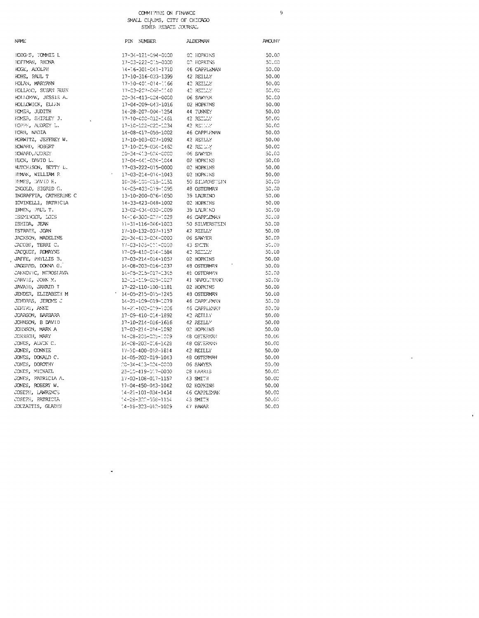ģ

 $\bar{z}$ 

 $\bar{\phantom{a}}$ 

| NAME                         | PIN NUMBER                                                                                                                                                    | <b>ALDERMAN</b>                | <b>AMOUNT</b> |
|------------------------------|---------------------------------------------------------------------------------------------------------------------------------------------------------------|--------------------------------|---------------|
| HODGES, TOMMIE L             | 17-34-121-094-0000 02 HOPKINS                                                                                                                                 |                                | 50.00         |
| HOFFMAN, RHONA               | 17-03-222-015-0000                                                                                                                                            | 02 HOPKINS                     | 50.00         |
| HOGE, ADOLPH                 | 14-16-301-041-1710 46 CAPPLEMAN                                                                                                                               |                                | 50.00         |
| HOHE, PAUL T                 | 17-10-316-033-1399                                                                                                                                            | 42 REILLY                      | 50.00         |
| HOLAN, MARYANN               | $\frac{17 - 0.0 - 400 - 014 - 0166}{17 - 0.3 - 207 - 066 - 0160} = \frac{42}{42} \cdot \frac{REILLY}{REILLY}$                                                 |                                | 50.00         |
| HOLLAND, SUSAN RUSK          | 17-03-207-068-1140                                                                                                                                            | 42 RETLLY                      | 50.00         |
| HOLLOWN, JESSIE A.           | 20-34-413-024-0000                                                                                                                                            | 06 SAWYER                      | 50.00         |
| HOLLOWICK, ELLEN             | $17 - 04 - 209 - 043 - 1016$                                                                                                                                  | 02 HOPKINS                     | 50.00         |
| HOMER, JUDITH                | 14-28-207-004-1254                                                                                                                                            | 44 TUNNEY                      | 50.00         |
| HOMER, SHIRLEY J.            | $17-10-400-012-1461$ 42 REILLY                                                                                                                                |                                | 50.00         |
| HOPPE, AUDREY L.             | 17-10-122-022-1234                                                                                                                                            | 42 RETURN                      | 50.00         |
| HORB, NADIA                  | 14-08-417-055-1002                                                                                                                                            | 46 CAPPEFMAN                   | 50.00         |
| HORWITZ, JEFFREY W.          | 17-10-103-027-1092                                                                                                                                            | 42 RETLLY                      | 50.00         |
| HOWARD, ROBERT               | 17-10-219-034-1462                                                                                                                                            | 42 REDEX 1                     | 50.00         |
| HOWARD, AUDREY               | 20-34-413-024-0000                                                                                                                                            | 06 SAWYER                      | 50.00         |
| HUCK, DAVID L.               | 17-04-441-024-1044                                                                                                                                            | 02 HOPKINS                     | 50.CO         |
| HUTCHISON, BETTY L.          | 17-03-222-015-0000                                                                                                                                            | 02 HOPKINS                     | 50.00         |
| HYMAN, WILLIAM R             | $17 - 03 - 214 - 014 - 1043$                                                                                                                                  | 02 HOPKINS                     | 50.00         |
| HYMES, DAVID H.              | 10-36-100-015-1151                                                                                                                                            | 50 STIMERSTEIN                 | 50,00         |
| INGOLD, SIGRID G.            | 14-05-403-019-1095 48 OSTERMAN                                                                                                                                |                                | 50.00         |
| INGRAFFIA, CATHERINE C       | 13-10-200-006-1050                                                                                                                                            | 39 LAURINO                     | 50.00         |
| IOVINELLI, PATRICIA          | 14-33-423-048-1002                                                                                                                                            |                                | 50.00         |
| IRMEN, PAUL T.               | 14-33-423-048-1002 02 HOPKINS<br>13-02-434-030-1009 39 LAURINO                                                                                                |                                | 50.CO         |
| ISEMINGER, LOIS              | 14-16-300-027-1029                                                                                                                                            | 46 CAPPLEMAN                   | 50.00         |
| ISHIDA, JEAN                 | 11-31-116-046-1003                                                                                                                                            | 50 SILVERSTEIN                 | 50.00         |
| TSTRATE, JOAN                | 17-10-132-037-1157                                                                                                                                            | 42 REILLY                      | 50.00         |
| JACKSON, MADELINE            | 20-34-413-024-0000                                                                                                                                            | 06 SAWYER                      | 50.00         |
| $\texttt{CACOBS}$ , TERRI C. | 17-03-105-011-0000                                                                                                                                            | 43 SMITH                       | 50.00         |
| JACQUET, ROMAYNE             | 17-09-410-014-1584                                                                                                                                            | 42 REILLY                      | 50.00         |
| JAFFE, PHYLLIS B.            | 17-03-214-014-1057 02 HOPKINS                                                                                                                                 |                                | 50.00         |
| JAGGARD, DONNA G.            | 14-08-203-016-1037                                                                                                                                            | 48 OSTERMAN                    | 50.00         |
| JANKOVIC, MTROSLAVA          | 14-05-215-017-1345                                                                                                                                            | 18 OSTERMAN<br>41 ביצחות המתנג | -50.00        |
| JARVIS, JOHN M.              | 12-11-119-025-1027                                                                                                                                            | 4] NAPOLITANO                  | - 50.00       |
| JAVAID, JAVAID T             | 17-22-110-100-1181                                                                                                                                            | 02 HOPKINS                     | 50.00         |
| JENDER, ELIZABETH M          | 17-22-110-100-1181        02 HOPKINS<br>14-05-215-015-1245       48 OSTERMAN                                                                                  |                                | 50.00         |
| JENDRAS, JEROME J            | 14-21-109-019-1079                                                                                                                                            | 46 CAPPLEMAN                   | - 50.00       |
| JENTRY, ANNE                 | 14-21-100-019-1006                                                                                                                                            | 46 CAPPLEMAN                   | 50.00         |
| JOARSON, BARBARA             | 17-09-410-014-1892                                                                                                                                            | 42 RETLLY                      | 50.00         |
| JOHNSON, B DAVII)            | 17-10-214-016-1616                                                                                                                                            | 42 REILLY                      | 50.00         |
| JOHNSON, MARK A              | 17-03-214-014-1092                                                                                                                                            | 02 HOPKINS                     | 50.00         |
| JOHNSON, MARY                | 14-08-205-025-1009                                                                                                                                            | 48 OSTERVAN                    | 50.00         |
| JONES, ALVIN C.              | 14-08-203-016-1428                                                                                                                                            | 48 OSTERMAN                    | 50.00         |
| JONES, CONNIE                | 17-10-400-012-1814                                                                                                                                            | 42 REILLY                      | 50.00         |
| JONES, DONALD C.             |                                                                                                                                                               |                                | 50.00         |
| JONES, DOROTHY               |                                                                                                                                                               |                                | 50.00         |
| JONES, MICHAEL               | 25-10-419-017-0000                                                                                                                                            | 08 HARRIS                      | 50.00         |
| JONES, PATRICIA A.           |                                                                                                                                                               |                                | 50.00         |
| JONES, ROBERT W.             |                                                                                                                                                               |                                | 50.00         |
| JOSEPH, LAWRENCH             | 27-03-108-017-1157 43 SMIT:<br>17-03-108-017-1157 43 SMIT:<br>17-04-450-043-1042 02 HOPKINS<br>14-21-101-034-1434 46 CAPPLEYAN<br>14-28-300-038-1154 43 SMITH |                                | 50.00         |
| JOSEPH, PATRICIA             |                                                                                                                                                               |                                | 50.00         |
| JOUZAITIS, GLADYS            | 14-18-323-012-1029                                                                                                                                            | 47 PAWAR                       | 50.00         |
|                              |                                                                                                                                                               |                                |               |

 $\sim 10^{-1}$ 

## $\bar{N}$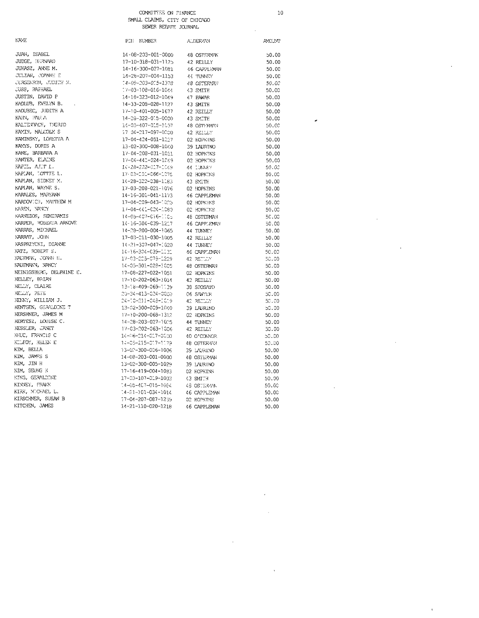$10$ 

 $\ddot{\phantom{a}}$ 

ï

 $\tilde{\phantom{a}}$ 

JUAN, ISABEL JUDGE, BERNARD JUHASZ, ANNE M. JULIAN, JOANNE E JURGENSON, JUDITH N. **JUSS, RAPHAEL** JUSTIN, DAVID P KADLUB, EVELYN B.  $\ddot{\phantom{a}}$ KADUBEC, JUDITH A KAHN, PAULA KALTENRACH, INGRID KAMIN, MALCOLM S KAMINSKY, LORETTA A KAYYS, DORIS A KANE, BARBARA A KANTER, FLAINE  $\texttt{NAFLL,}$  ALT  $L$  . KAPLAN, LOTTIE L. KAPLAN, SIDNEY M. KAPLAN, WAYNE S. KARALES, MARYANN KARDOVICH, MATTHEW M KAREN, NANCY KARNEZOS, SEMIRAMIS KARPER, ROBERTA ARNOVE KARRAS, MICHAEL KARRAT, JOHN KASPRZYCKI, DIANNE KATZ, ROBERT S. RAUFMAN, JOANN H. KAUFMANN, NANCY KEINIGSBERG, DELPHINE E. KELLEY, BRIAN KELLY, CLAIRE KELLY, PETE RENNY, WILLIAM J. KENTGEN, GERALDINE T KERSHNER, JAMES M KERTESZ, LOUISE C. KESSLER, JANET KHUC, FRANCIS C KULFOY, HELEN E  $\texttt{KIM}_\bullet$ BELLA KIM, JAMES S KIM, JIN H KIM, SEUNG K KING, GERALDINE KINNEY, FRANK KIRK, MICHAEL L. KIRSCHNER, SUSAN B KITCHEN, JAMES

| PIN:<br><b>NUMBER</b>        | ALDERYAN            | AMCUNT |
|------------------------------|---------------------|--------|
| 14-08-203-001-0000           | 48 OSTERWN          | 50.00  |
| 17-10-318-031-1125           | 42 REILLY           | 50.00  |
| 14-16-300-027-1091           | 46 CAPPLEMAN        | 50.00  |
| 14-28-207-004-1153           | 44 TUNNEY           | 50.00  |
| 14-09-203-015-1378           | 48 OSTERVAN         | 50.00  |
| 17-03-108-016-1044           | 43 SMITH            | 50.00  |
| 14-18-323-012-1049           | 47 PAWAR            | 50.00  |
| $14 - 33 - 208 - 028 - 1127$ | 43 SMITH            | 50.00  |
| $17 - 10 - 401 - 005 - 1677$ | 42 REILLY           | 50.00  |
| 14-28-322-015-0000           | 43 SMITH            | 50.00  |
| 14-05-407-015-1057           | 48 OSTERMAN         | 50.00  |
| 17 04-217-097-0000           | 42 REILLY           | 50.00  |
| 17-04-424-051-1227           | 02 HOPKINS          | 50.00  |
| 13-02-300-008-1040           | 39 LAURINO          | 50.00  |
| 17-04-208-031-1011           | 02 HOPKINS          | 50.00  |
| 17-04-441-024-1049           | 02 HOPKTNS          | 50.00  |
| 14-28-202-017-1049           | 44 LUNNEY           | 50.OC  |
| 17-03-201-066-1075           | 02 HOPKTNS          | 50.00  |
| 14-28-322-038-1183           | 43 SMITH            | 50.00  |
| 17-03-208-021-1076           | 02 HOPKINS          | 50.00  |
| 14-16-301-041-1173           | <b>16 CAPPLEMAN</b> | 50.00  |
| 17-04-209-043-1025           | 02 HOPKINS          | 50.00  |
| 17-04-441-024-1080           | 02 HOPKINS          | 50.00  |
| 14-05-407-016-1105           | 48 OSTERMAN         | 50.00  |
| 14-16-304-039-1217           | <b>46 CAPPLEMAN</b> | 50.00  |
| 14-28-200-004-1065           | 44 TUNNEY           | 50.00  |
| 17-03-211-030-1005           | 42 REILLY           | 50.00  |
| 14-21-307-047-1020           | 44 TUNNEY           | 50.00  |
| 14-16-304-039-1131           | <b>46 CAPPLEMAN</b> | 50.00  |
| 17-03-225-078-1229           | 42 RETUUY           | 50.00  |
| 14-05-301-028-1005           | 48 OSTERMAN         | 50.00  |
| 17-08-227-022-1051           | 02 HOPKINS          | 50.00  |
| 17-10-202-063-1014           | 42 REILLY           | 50.00  |
| 13-18-409-069-1139           | 39 SPOSATO          | 50.00  |
| 20-34-413-024-0000           | 06 SAWYER           | 50.00  |
| 24-10-211-048-1019           | 42 REDDY            | 50.00  |
| 13-02-300-009-1040           | 39 LAURINO          | 50.30  |
| $17 - 10 - 200 - 068 - 1312$ | 02 HOPKINS          | 50.00  |
| 14-28-203-027-1025           | 44 TUNNEY           | 50.00  |
| 17-03-202-063-1006           | 42 REILLY           | 50.00  |
| 14-06-214-017-0000           | 40 O'CONNOR         | 50.00  |
| 14-05-215-017-1179           | 48 OSTERWN          | 50.00  |
| 13-02-300-006-1006           | 39 LAURINO          | 50.00  |
| 14-08-203-001-0000           | 48 OSTERMAN         | 50.00  |
| 13-02-300-005-1029           | 39 LAURINO          | 50.00  |
| 17-16-419-004-1083           | 02 HOPKINS          | 50.00  |
| 17-03-107-019-1003           | 43 SMITH            | 50.00  |
| 14-05-407-015-1084           | 48 OSTERVAN         | 50.00  |
| $14 - 21 - 101 - 034 - 1014$ | 46 CAPPLEMAN        | 50.00  |
| 17-04-207-087-1239           | 02 HOPKINS          | 50.00  |
| 14-21-110-020-1218           | 46 CAPPLEMAN        | 50.00  |
|                              |                     |        |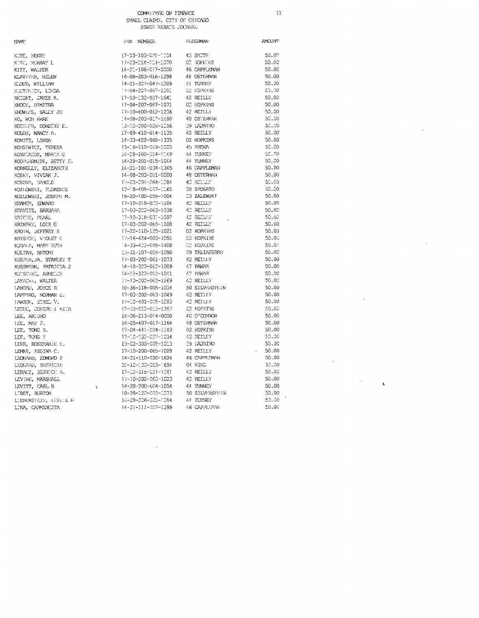$\bar{1}\bar{1}$ 

J,

 $\overline{\phantom{a}}$ 

 $\overline{\phantom{a}}$ 

 $\ddot{\phantom{a}}$ 

 $\bar{\mathbf{c}}$ 

 $\bar{z}$ 

AMOUNT  $50.00$  $50.00$  $50.00$  $50.00$  $50.00$ <br> $50.00$  $50.00$  $50.00$  $50.00$  $50,00$ 50.00

 $50.00$  $50.00$  $50.00$  $\mathfrak{so}, \mathfrak{so}$  $50.00$  $50.00$ <br> $50.00$  $50.00$ <br> $50.00$  $50.00$  $50.00$  $50.00$  $50.00$  $50.00$  $50.00$  $50,00$ 

 $50.00$  $50.00$  $50.00$  $50.00$  $50.00$  $50.00$  $50.00$ <br> $50.00$ 

 $50.00$  $50.00$  $50.00$  $50.00$ <br> $50.00$ 50.00  $50.00$ 

 $50.00$  $50.00$ 

50.00  $50.00$  $50.00$ 

 $50.00$ 

 $50.00$  $\lambda$  $50,00$  $50.00$ 

| NAME.                                     |
|-------------------------------------------|
| KITE, HENRY                               |
| KITE,<br>MURRAY L                         |
| <b>KITT, WALTER</b>                       |
| KLAVITER, HELEN                           |
| KLOUD, WILLIAM                            |
| KUUTZNICK, LINDA                          |
| KNIGHT, JAMES R.                          |
| NOCH, DIMITRA                             |
| RNOWLES, SALLY JO                         |
| KO, WON HWAN                              |
| KOEHIER, DOROTHY E.                       |
| KOLOS, NANCY A.                           |
| KONITZ, LINDA                             |
| KONSEWICZ, TERESA                         |
|                                           |
| KONSTATOS, MARTA G                        |
| KOOPERSMITE, BETTY F.                     |
| KORNELLY, ELIZABETH                       |
| KOSKY, VIVIAN J.                          |
| KOSOVA, HAROLD                            |
| KOZIOWSKI, FLORENCE                       |
| KOZLOWSKI, JOSEPH M.                      |
| KRAMER, EDWARD                            |
| KRAVITZ, BARBARA                          |
| KRTEPS, PEARL<br>KRINSKY, LOIS G          |
|                                           |
| KROIN, JEFFREY S                          |
| KRYSTOF, VIOLET G                         |
| KUBALA, MARY RUTH                         |
| KJLFAN, ANTONI                            |
| KUSPER, JR. STANLEY T                     |
| KUSSMANN, PATRICIA J<br>KUTSCHKE, ANNELIS |
|                                           |
| LAMACKI, WALTER                           |
| LANDAU, JOYCE R                           |
| IAPPING, NORMAN E.                        |
| LAWSON, ETHEL V.                          |
| LEDUC, JOSEPH & RITA                      |
| LEE, ARTURO                               |
| IEE, MAY F.                               |
| LEE, TONG H.                              |
| LEE, TONG Y                               |
| LEER, ROSEMARIE E.                        |
| LEMKE, REGINA C.                          |
| LEONARD, EDMOND P                         |
| LEONARD, PATRICIA                         |
| LERACZ, BERNICH B.                        |
| LEVINE, MARSHALL                          |
| LEVITT, CARL B                            |
| LIBET, BURTON                             |
| LIEBERSTEIN, LESLIE H                     |
| LINA, CARMENCITA                          |
|                                           |
|                                           |
|                                           |

 $\chi$ 

 $\bar{\beta}$ 

| PIN<br>NUMBER      | ALDERMAN            |
|--------------------|---------------------|
| 17-03-103-028-1104 | 43 SMITH            |
| 17-03-214-014-1070 | 02 HOPKINS          |
| 14-21-106-017-0000 | <b>16 CAPPLEMAN</b> |
| 14-08-203-016-1298 | 48 OSTERMAN         |
| 14-21-307-047-1209 | 44 TUNNEY           |
| 17-04-207-087-1201 | 02 HOPKINS          |
| 17-10-132-037-1641 | 42 REILLY           |
| 17-04-207-087-1071 | 02 HOPKINS          |
| 17-10-400-012-1236 | 42 REILLY           |
| 14-08-203-017-1480 | 48 OSTERMAN         |
| 13-10-200-026-1256 | 39 LAJRTNO          |
| 17-09-410-014-1135 | 42 REILLY           |
| 14-33-422-068-1335 | 02 HOPKINS          |
| 13-16-110-049-1005 | 45 ARENA            |
| 14-28-200-004-1149 | 44 IUNNEY           |
| 14-28-201-015-1044 | 44 TUNNEY           |
| 14-21-101-034-1345 | 46 CAPPLEMAN        |
| 14-08-203-001-0000 | 48 OSTERMAN         |
| 17-03-204-064-1084 | 42 REELLY           |
| 13-18-409-057-1165 | 38 SPOSATO          |
| 19-20-100-059-1004 | 23 ZALEWSKI         |
| 17-10-219-023-1104 | 42 REILLY           |
| 17-03-202-063-1038 | 42 REILLY           |
| 17-10-318-031-1097 | 42 REILHY           |
| 17-03-202-065-1108 | 42 REILLY           |
| 17-22-110-125-1021 | 02 HOPKINS          |
| 37-16-424-005-1051 | 02 HOPKINS          |
| 14-33-423-048-1408 | 02 HOPKINS          |
| 13-31-107-024-1090 | 29 TALIAFERRO       |
| 17-03-202-061-1073 | 42 REILLY           |
| 14-18-323-012-1009 | 47 PAWAR            |
| 14-18-323-012-1041 | 47 PAWAR            |
| 17-10-202-063-1169 | 42 REILLY           |
| 10-36-118-005-1034 | 50 SILVERSTEIN      |
| 17-03-202-063-1049 | 42 REILLY           |
| 17-10-401-005-1283 | 42 REILLY           |
| 17-03-222-023-1397 | 02 HOPKINS          |
| 14-06-213-014-0000 | 40 O'CONNOR         |
| 14-05-407-017-1164 | 48 OSTERMAN         |
| 17-04-441-024-1183 | 02 HOPKINS          |
| 17-10-132-037-1034 | 42 REILLY           |
| 13-02-300-008-1013 | 39 LAURINO          |
| 17-10-200-065-1028 | 42 REILLY           |
| 14-21-110-020-1624 | 46 CAPPLEMAN        |
| 20-12-100-003-1654 | 04 KING             |
| 17-10-318-031-1281 | 42 REILLY           |
| 17-10-202-063-1023 | 42 REILLY           |
| 14-28-200-004-1054 | 44 TUNNEY           |
| 10-36-120-003-1075 | 50 SILVERSTEIN      |
| 14-28-206-005-1084 | 44 TUNNEY           |
| 14-21-111-007-1399 | 46 CAPPLEMAN        |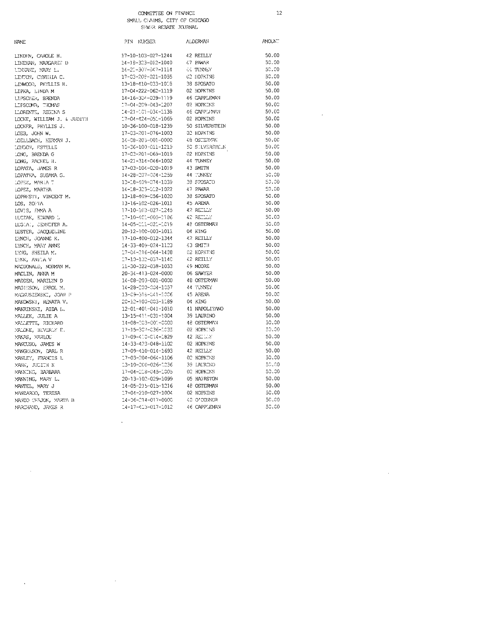## COMMITTEE ON FINANCE  $S^{\lambda}$

 $12$ 

 $\sim 10$ 

 $\mathcal{L}^{\mathcal{L}}$ 

|                       |  | MALL CIAIMS, CITY OF CHICAGO |
|-----------------------|--|------------------------------|
| SUMER REPATE TO ENAL. |  |                              |

| NAME                                      | PIN NUMBER                    | <b>ALDERYAN</b> | AYOUN. |
|-------------------------------------------|-------------------------------|-----------------|--------|
| LINDIN, CAROLE H.                         | 17-10-103-027-1244            | 42 REILLY       | 50.00  |
| LINEHAN, MARGARET D                       | 14-18-323-012-1040            | 47 PAWAR        | 50.00  |
| LENNANE, MARY L.                          | 14-21-307-047-1114            | 44 TUNNEY       | 50.00  |
| LINTON, CYNTHIA C.                        | 17-03-209-021-1055            | C2 HOPKINS      | 50.00  |
| LINWOOD, PHYLLIS H.                       | 13-18-410-033-1018            | 38 SPOSATO      | 50.00  |
| LIPKA, LINDA M                            | 17-04-222-062-1119            | 02 HOPKINS      | 50.00  |
| LIPSCHER, BRENDA                          | 14-16-304-039-1119            | 46 CAPPLEMAN    | 50.00  |
| LIFSCOMB, THOMAS                          | 17-04-209-043-1207            | 02 HOPKINS      | 50.00  |
| LLORENTE, REGINA S                        | $14 - 21 - 101 - 034 - 1138$  | 46 CAPPLINAN    | 50.00  |
| LOCKE, WILLIAM J. & JUDITH                | 17-04-424-051-1069            | 02 HOPKINS      | 50.00  |
| LOCKER, PHYLLIS J.                        | 10-36-100-018-1239            | 50 SILVERSTEIN  | 50.00  |
| LOEB, JOHN W.                             | 17-03-201-076-1003            | 02 HOPKINS      | 50.00  |
| LOELLBACH, HERMAN J.                      | 14-08-205-001-0000            | ARVETZO 83      | 50.00  |
| LONDON, ESTELLE                           | 10-36-100-011-1219            | 50 STLVERSTEIN  | 50.00  |
| LONG, BRENDA G                            | 17-03-201-069-1019            | 02 HOPKINS      | 50.00  |
| LONG, RACHEL H.                           | 14-21-314-046-1002            | 44 TUNNEY       | 50.00  |
| LOPATA, JAMES R                           | 17-03-104-020-1019            | 43 SMITH        | 50.00  |
| LOPATKA, SUSANA G.                        | 14-28-207-004-1259            | 44 TUNNEY       | 50.00  |
| LOPEZ, MARIA T                            | 13-18-409-074-1039            | 38 SPOSATO      | -50.00 |
| LOPEZ, MARTHA                             | 14-18-323-012-1022            | 47 PAWAR        | 50.00  |
| LOPRESTI, VINCENT M.                      | 13-18-409-056-1020            | 38 SPOSATO      | 50.CO  |
| LOS. ZONIA                                | 13-16-102-026-1011            | 45 ARENA        | 50.00  |
| LOVES, FMA A                              | 17-10-103-027-1245            | 42 REILLY       | 50.00  |
| LUCZAK, EDWARD L                          | 17-10-401-005-1186            | 42 REDLY        | 50.00  |
| LUGIAI, JENNIFER A.                       | 14-05-211-021-1019            | 48 OSTERMAN     | 50.00  |
| LUSTER, JACQUELINE                        | 20-12-100-003-1011            | 04 KING         | 50.00  |
| LYNCH, JOANNE K.                          | 17-10-400-012-1344            | 4? REILLY       | 50.00  |
| LYNCE, MARY ANNE                          | 14-33-409-024-1123            | 43 SMITH        | 50.00  |
| LYNG, SHEILA M.                           | 17-04-216-064-1438            | 02 HOPKINS      | 50.00  |
| LENN, ANITA V                             | 17-10-132-037-1140            | 42 REILLY       | 50.00  |
| MACDONALD, NORMAN M.                      | 11-30-322-038-1033            | 49 MOORE        | 50.00  |
| MACLIN, ANNA M                            | 20-34-413-024-0000            | 06 SAWYER       | 50.00  |
|                                           | 14-08-203-001-0000            | 48 OSTERVAN     | 50.00  |
| MADDEN, MARILYN D<br>MAGIESON, ERROL M.   | 14-28-200-004-1057            | 44 TUNNEY       | 50.00  |
| MAGNUSZEWSKI, JOAN P                      | 13-09-516-041-1006            | 45 ARENA        | 50.00  |
|                                           | 20-12-100-003-1189            | 04 KING         | 50.00  |
| MAKOWSKI, RENATA V.<br>MAKRINSKI, AIDA L. | 12-01-401-041-1010            | 41 NAPOLITANO   | 50.00  |
| MALLEK, JULIE A                           | 13-15-411-031-1004            | 39 LAURINO      | 50.00  |
|                                           | 14-08-203-001-0000            | 48 OSTERMAN     | 50.00  |
| <b>YALLETTE, RICHARD</b>                  |                               | 02 HOPKINS      | 50,00  |
| MALONE, BEVERDY E.                        | 17-15-307-036-1035            | 42 REDUX        | 50.00  |
| MANAS, MARLOU                             | 17-09-410-014-1829            |                 |        |
| MANCUSO, JAMES W                          | 14-33-423-048-1102            | 02 HOPKINS      | 50.00  |
| MANGELSON, DARL R                         | 17-09-410-014-1693            | 42 REILLY       | 50.00  |
| MANLEY, FRANCIS L                         | 17-03-204-064-1106            | 02 HOPKINS      | 50,00  |
| MANN, JUDITH K                            | 13-10-200-026-1236            | 39 LAURINO      | -50.00 |
| MANNING, BARBARA                          | 17-04-218-045-1005            | 02 HOPKINS      | -50.00 |
| MANNING, MARY L.                          | 20-13-102-029-1099            | 05 HAJ RSTON    | 50.00  |
| MANTEL, MARY J                            | 14-05-215-015-1216            | 48 OSTERMAN     | 50.00  |
| MANZARCO, TERESA                          | 17-04-210-027-1004            | 02 HOPKINS      | 50.CO  |
| MANZO CHAJON, MARTA B                     | 14-06-214-017-0000 40 O'COMOR |                 | 50.00  |
| MARCHAND, JAYES R                         | 14-17-413-017-1012            | 46 CAPPLEMAN    | 50,00  |
|                                           |                               |                 |        |

 $\sim$ 

 $\mathcal{A}^{\mathcal{A}}$ 

 $\sim$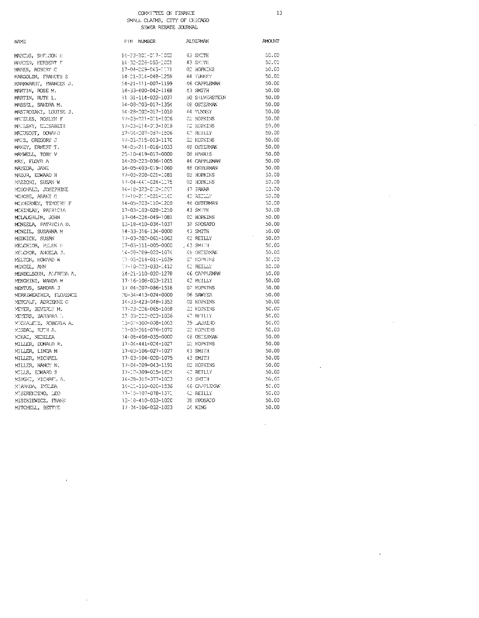### COMMITTEE ON FINANCE SMALL CLATMS. CTTY OF CHICAGO

 $13$ 

 $50.00$ 

 $50.00$  $50,00$ 

 $50.00$  $50.00$ 

 $50.00$ 

 $50.00$ 

 $50.00$ 

 $50.00$ 

 $50.00$ 

 $50.00$ 

 $50.00$ 

 $50.00$ 

 $50.00$ 

 $50.00$ 

 $50.00$ 

 $50.00$ 

 $50,00$ 

 $50.00$ 

 $\circledcirc$  .  $\circledcirc$ 

 $50.00$ 

 $50.00$ 

 $50.00$ 

 $50.00$ 

 $50.00$ 

 $50.00$ 

 $50.00$ 

 $50.03$ 

 $50.00$ 

 $50,00$ 

 $50,00$ 

 $60.00$ 

 $50.00$ 

 $50.00$ 

 $50.00$ 

 $50.00$ 

 $50.03\,$ 

 $50.00$ 

 $50.00$ 

 $50.00$  $50.00$ 

 $50.00$ 

 $50.00$  $50.00$ 

 $50.03$ 

 $50.03$ 

 $50\!\cdot\!00$ 

 $50.03$ 

 $50.00$ 

 $50.03$ 

 $50.00$ 

 $\bar{z}$ 

 $\cdot$ 

 $\sim$ 

 $\bar{z}$ 

 $\sim$ 

 $\bar{z}$ 

 $\bar{\alpha}$ 

|            | PWITT CITTLE CITT OF CETTLED<br>SEWER REPATE JOURNAL |
|------------|------------------------------------------------------|
| PIN NUMBER | ALDE NAN                                             |

**NAYE** 

| MARCUS, SHELDON H      | 14-33-201-017-1002            | 43 SMITH           |
|------------------------|-------------------------------|--------------------|
| MARDEN, HERBERT F      | 14 - 32-226-053-1001          | 43 SYCTE           |
| MARES, ROBERT C        | 17-04-209-043-1171            | 02 HOPKINS         |
| MARGOLIN, FRANCES S    | 14-21-314-048-1259            | 44 TUNNEY          |
| MARKWARDT, FRANCES J.  | 14-21-111-007-1199            | 46 CAPPLEMAN       |
| MARTIN, ROSE M.        | 14-33-400-042-1168            | 43 SMITH           |
| MARTIN, RUTH L.        | 11 - 31 - 114 - 022 - 1037    | 50 SHAWERSTEIN     |
| MASSEL, SANDRA M.      | 14-08-203-017-1354            | 48 OSTERMAN        |
| MASTROIANI, LOUISE J.  | 14-28-202-017-1010            | 44 TUNNEY          |
| MATELES, ROSLYN F      | 17-03-221-011-1026            | C2 HOPKINS         |
| MATESKY, ELESABETH     | 17-03-214-013-1019            | C2 HOPKINS         |
| MATUSOFF, DONALD       | 17-04-207-087-1506            | 42 REILLY          |
| MATZ, GREGORY J        | 17-03-215-013-1170            | 02 HOPKINS         |
| MAXEY, ERNEST T.       | 14-05-211-016-1033            | 48 OSTERMAN        |
| MANWELL, TOBY V        | 25-10-419-017-0000            | 08 HARRIS          |
| MAY, FLOYD A           | 14-20-223-036-1005            | 46 CAPPLEMAN       |
| MAYEDA, JANE           | 14-05-403-019-1060            | <b>48 OSTERMAN</b> |
| MAZUR, EDWARD H        | 17-03-208-021-1081            | 02 HOPKINS         |
| MAZZONI, SUSAN W       | 17-04-441-024-1175            | 02 HOPKINS         |
| MCDONALD, JOSEPHINE    | 14-18-323-012-1007            | 47 PAWAR           |
| MCHOSE, ARANI G        | 37-10-200-021-1142            | 42 REDDY           |
| MCINERNEY, TIMOTHY F   | 14-05-203-110-1200            | <b>48 OSTERMAN</b> |
| MCKINLAY, PATRICIA     | 17-03-103-028-1210            | 43 SMITH           |
| MCLAUGHLIN, JOHN       | 17-04-224-049-1081            | 02 HOPKINS         |
| MONEELA, PATRICIA D.   | 13-18-410-034-1037            | 38 SPOSATO         |
| MCNEIL, SUSANNA M      | 14-33-316-134-0000            | 43 SMITH           |
| MEDNICK, SUSAN         | 17-03-202-061-1062            | 42 REILLY          |
| MELCHIOR, HELEN H      | 17-03-111-005-0000            | $,43$ SMITH.       |
| MELCHOR, ANCELA J.     | 14-08-009-022-1074            | 46 OSTERMAN        |
| MELTON, HOWARD W       | 17-03-214-014-1039            | <b>GP HOPKINS</b>  |
| MENDEL, ANN            | $17 - 10 - 0.23 - 033 - 1412$ | 42 REILLY          |
| MENDELSON, ALFREDA A.  | 14-21-110-020-1278            | 46 CAPPLEMAN       |
| MENGHINI, WANDA M      | 17-16-108-033-1211            | 42 REILLY          |
| MENTUS, SANDRA J       | 17 04-207-036-1518            | 02 HOPKINS         |
| MERRIWEATHER, FLORENCE | $20 - 34 - 413 - 024 - 0000$  | 06 SAWYER          |
| METCALF, ADRIENNE G    | 14-33-423-048-1352            | 02 HOPKINS         |
| MEYER, BEVERLY M.      | 17-03-226-065-1058            | <b>CC HOPKINS</b>  |
| MEYERS, BARBARA I.     | 17-03-222-023-1036            | 42 REILLY          |
| MTCHALETZ, ROBERTA A.  | 13-02-300-008-1003            | 39 LAJREJO         |
| MIGDAL, RUTH A.        | 17-03-201-076-1070            | <b>C2 HOPKINS</b>  |
| MIHAI, NEDELEA         | 14-08-408-035-0000            | 48 OSTERMAN        |
| MILLER, DONALD R.      | 17-04-441-024-1027            | <b>CC HOPKINS</b>  |
|                        | 17-03-106-027-1027            | 43 SM1TH           |
| MILLER, LINDA M        | 17-03-104-020-1075            | 43 SMITH           |
| MILLER, MICHAEL        |                               | 02 HOPKINS         |
| MILLER, NANCY N.       | 17-04-209-043-1191            |                    |
| MILLS, EDWARD S        | 17-10-309-015-1824            | 42 RETLLY          |
| MINGHI, MICHAEL A.     | 14-28-319-077-1023            | 43 SMITH           |
| MIRANDA, IMELDA        | 14-21-110-020-1536            | 46 CAPPLEYAN       |
| MUSERENDINO, LEO       | 17-15-107-078-1371            | 42 REILLY          |
| MISZKIEWICZ, FRANK     | 13-18-410-033-1020            | 38 SPOSATO         |
| MITCHELL, BETTYE       | 17-34-106-032-1023            | C4 KENG            |

 $\overline{ }$ 

 $\bar{\mathbf{r}}$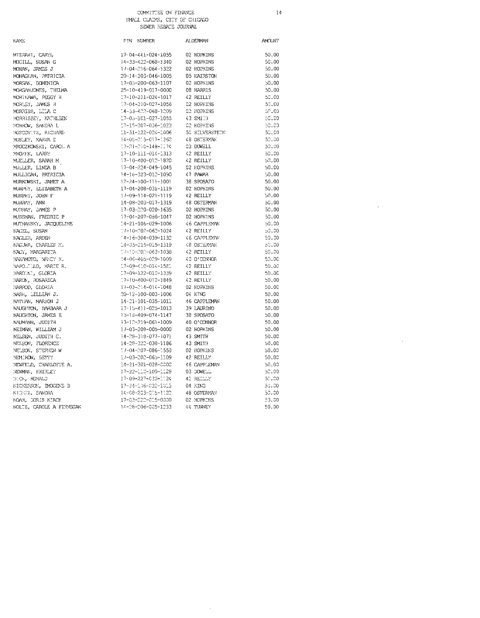$14\,$ 

 $\sim$ 

 $\mathcal{A}^{\mathcal{A}}$ 

| <b>NAYE</b>              | PIN NUMBER                    | ALDERMAN       | <b>AMOUNT</b> |
|--------------------------|-------------------------------|----------------|---------------|
| MTZRAHI, CARYL           | 17-04-441-024-1055            | 02 HOPKINS     | 50.00         |
| MOCILL, SUSAN G          | 14-33-422-068-1340            | 02 HOPKINS     | 50.00         |
| MOHAN, JAMES J           | $17 - 04 - 216 - 064 - 1322$  | 02 HOPKINS     | 50.00         |
| MONAGHAN, PATRICIA       | 20-14-203-046-1005            | 05 HAIRSTON    | 50.00         |
| MORGAN, DOMENICA         | 17-03-200-063-1107            | 02 HOPKINS     | 50.00         |
| MORGANJONES, THEIMA      | 25-10-419-017-0000            | 08 HARRIS      | 50.00         |
| MORIKAWA, PEGGY H        | 17-10-211-024-1017            | 42 REILLY      | 50.00         |
| MORLEY, JAMES H          | $17 - 04 - 210 - 027 - 1056$  | 02 HOPKINS     | 50.00         |
| MORRISS, LILA C          | 14-33-402-068-1009            | 02 HOPKINS     | 50.00         |
| MORRISSEY, KATHLEEN      | 17-05-101-027-1055            | 43 SMITH       | 50.00         |
| MORROW, SANDRA L         | 17-15-307-036-1023            | 02 HOPKINS     | 60.00         |
| MOSCOVITZ, RICHARD       | 11-31-122-024-1006            | 50 SILVERSTEIN | 50.00         |
| MOSLEY, MARVA E          | 14-05-215-017-1360            | 48 OSTERMAN    | 50.00         |
| MROCZKOWSKI, CAROL A     | 17-21-210-148-1174            | 03 DOMELL      | 50.00         |
| MROZEK, LARRY            | 17-10-111-014-1313            | 42 REILLY      | 50.00         |
| MJELLER, SARAH M         | 17-10-400-012-1820            | 42 REILLY      | 50.00         |
| MULLER, LINDA B          | $-7 - 04 - 224 - 049 - 1045$  | 02 HOPKINS     | 50.00         |
| MULLICAN, PATRICIA       | 14-18-323-012-1090            | 47 PAWAR       | 50.00         |
| MJRKOWSKI, JANET A       | $12 - 24 - 100 - 111 - 1001$  | 38 SPOSATO     | 50.00         |
| MURPHY, ELIZABETH A      | 17-04-208-031-1119            | 02 HOPKINS     | 50.00         |
| MURPHY, JOHN F           | 17-09-114-021-1119            | 42 REILLY      | 50.00         |
| MURRAY, ANN              | 14-08-203-017-1319            | 48 OSTERMAN    | 50.00         |
| MURRAY, JAMES P          | 17-03-220-020-1635            | 02 HOPKINS     | 50.00         |
| MUSSMAN, FREDRIC P       | $77 - 04 - 207 - 086 - 1047$  | 02 HOPKINS     | 50.00         |
| MUTNANSKY, JACQUELINE    | 14-21-106-029-1006            | 46 CAPPLEMAN   | 50.00         |
| NACEL, SUSAN             | 17-10-002-062-1024            | 42 REILLY      | 53.30         |
| NAGLER, ARDEN            | $-4 - i 6 - 304 - 039 - 1132$ | 46 CAPPLEYAN   | 50,00         |
| NAGUWA, CHARLES M.       | 14-05-215-015-1319            | 48 OSTERMAN    | 50.00         |
| NACY, MARGARITA          | 17-10-202-063-1038            | 42 REILLY      | 50.00         |
| NAKNMOTO, NANCY K.       | 14-06-405-029-1009            | AC O'CONNOR    | 50.00         |
| NAPOLILLO, MARIE R.      | 17-09-410-014-1581            | 42 REILLY      | 50.00         |
| NARDINI, GLORIA          | 17-09-122-010-1339            | 42 REILLY      | 50.00         |
| NARON, ROSARICA          | 17-10-400-012-1849            | 42 RETLLY      | 50.00         |
| NARROD, GLORIA           | $17 - 03 - 234 - 014 - 1048$  | 02 HOPKINS     | 50.00         |
| NASH, LILLIAN J.         | 20-12-100-003-1006            | 04 KING        | 50.00         |
| NATHAN, MARION J         | 14-21-101-035-1011            | 46 CAPPLEMAN   | 50.00         |
| NAUGHTON, INRBARA J      | 13-15-411-025-1013            | 39 LAURINO     | 50.00         |
| NAUCHTON, JAMES E        | 13-18-409-074-1147            | 38 SPOSATO     | 50.00         |
| NAUMANN, JUDITH          | 13-12-219-061-1009            | 40 O'CONNOR    | 50.00         |
| NEIMAN, WILLIAM J        | 17-03-208-005-0000            | 02 HOPKINS     | 50.00         |
| NELSEN, JUDITH C.        | $14 - 28 - 318 - 077 - 1071$  | 43 SMITH       | 50.00         |
| NELSON, FLORENCE         | 14-28-322-038-1186            | 43 SMITH       | 50.00         |
| NELSON, STEPHEN W        | $-7 - 04 - 207 - 086 - 7553$  | 02 HOPKINS     | 50.00         |
| NEMIROW, SETTY           | 17-03-202-065-1109            | 42 REILLY      | 50.00         |
| NEWFELD, CHARLOTTE A.    | 14-21-301-028-0000            | 46 CAPPLEMAN   | 50.00         |
| NEWMAN, SHIRLEY          | 17-22-110-100-1129            | 03 DOMELL      | -50.00        |
| NICK, RONALD             | 17-09-227-030-1124            | 42 REDDY       | -50.00        |
| NICKERSON, IMOGENE B     | 17-34-106-032-1013            | 04 KING        | -50.00        |
| NIDEEZ, SANDRA           | 14-08-203-015-1122            | 48 OSTERMAN    | 50.00         |
| NOAH, CORIS KIRCH        | 17-03-222-015-0000            | 02 HCPKINS     | 50.00         |
| NOLTE, CAROLE A FINNECAN | 14-28-206-005-1233            | 44 TUNNEY      | 50.00         |

 $\hat{\mathcal{A}}$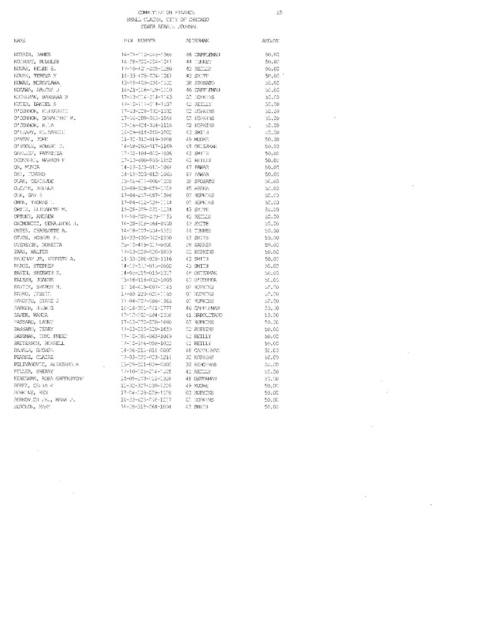$\bar{1}5$ 

 $\bar{z}$ 

 $\ddot{\phantom{0}}$ 

 $\bar{z}$ 

 $\hat{\mathcal{A}}$ 

 $\ddot{\phantom{a}}$ 

 $\hat{\mathcal{A}}$ 

 $\sim$ 

| MAYE                                                                                                        | PIN NJMBER                                                                                                    | <b>ALDERMAN</b>                          | AYOUNI                            |
|-------------------------------------------------------------------------------------------------------------|---------------------------------------------------------------------------------------------------------------|------------------------------------------|-----------------------------------|
| NORRIS, JAMES<br>NOTROFF, RULOLFH                                                                           | 14-21-110-048-3568 46 CAPPLEMAN                                                                               |                                          | $-50.00$                          |
|                                                                                                             | 14-28-200-004-1041                                                                                            | 44 TUNNEY                                | 50.00                             |
| NOVAN, HELEN E.                                                                                             | 17-10-401-005-1280                                                                                            |                                          | - 50.00                           |
| NOVAR, TERESA X                                                                                             | 14-33-409-004-1061                                                                                            | 42 REDDY<br>43 SMITH                     | $-50.00^{-4}$                     |
| NOWAK, MIROSLAWA                                                                                            | 13-18-409-034-1032                                                                                            | 38 SPOSATO                               | 50.00                             |
| NOSZWEN, ARLENE J                                                                                           | $14-21-166-429-1610$ 46 CAPPLEMAN                                                                             |                                          | - 50.00                           |
| NUDSIMAN, BARBARA N                                                                                         | 17-03-014-014-1143                                                                                            | <b>CONSIDENTING</b>                      | 50.00                             |
| NJIER, DANIEL S                                                                                             | 17-10-111-014-1037                                                                                            | 42 REELY                                 | 50.00                             |
| O'CONNOR, ELIZABBELL                                                                                        | 17-03-228-032-1032                                                                                            | 02 HOPKINS                               | 50.00                             |
| OTOONNOR, GERALDING M.<br>OTOONNOR, GERALDING M.                                                            | 17-04-209-043-1044                                                                                            | 02 HOPKINS                               | 50.00                             |
| O'CONNOR, R.LA                                                                                              | 17-16-424-004-1116                                                                                            |                                          | ಾ೦.೦೦<br><b>Contract Contract</b> |
| OTODNOR, R.LA<br>OTEVRY, ELLMABETT<br>OTNEAL, JOHN<br>OTKOLE, ROBERT D.<br>OTKULET PREBITIR                 | 14-29-414-040-1002                                                                                            | 02 HOPKINS<br>43 SMIDH                   | -50.00-                           |
|                                                                                                             | 11-32-312-019-1008                                                                                            | 49 MOORE                                 | 50.00                             |
|                                                                                                             |                                                                                                               |                                          | 50.00                             |
|                                                                                                             |                                                                                                               |                                          | 50.00                             |
| LLU, PAPSILLA<br>OCONNELL, MARION F<br>OR, MONJA                                                            | 17-10-400-035-1152                                                                                            | - 42 REHAY -                             | 50.00                             |
|                                                                                                             | 14-18-303-010-1064                                                                                            | $47$ PAWAR                               | - 50.00                           |
|                                                                                                             | 14-18-323-012-1065                                                                                            | 47 FAWYR                                 | $-50.00$                          |
| OKI, TURUKO<br>OLAH, GEHTAJDE<br>OLAZYK, HALHAA                                                             | 13-16-411-006-1008                                                                                            |                                          | - 50.00                           |
|                                                                                                             | 13-09-328-059-1008                                                                                            | 39 SPOSATO<br>45 AREINA                  | 50.00                             |
| O.K. GW 5                                                                                                   | 17-04-207-087-1598                                                                                            | 02 HOPKINS                               | -50.00-                           |
| OMM, THOMAS I.                                                                                              |                                                                                                               |                                          | 50.00                             |
| ORTIZ, BLUVABENT M.                                                                                         | -<br>17–04–412–926-1144 - - - 00 HOPKINS<br>14–28–399–931–1134 - - - 43 SMITH<br>$14 - 28 - 309 - 032 - 1134$ |                                          | 50.00                             |
| ORTONY, ANDREW                                                                                              |                                                                                                               |                                          | 50.00                             |
| OSIMOWICZ, GERALDINA H.                                                                                     |                                                                                                               |                                          | 50,00                             |
| US HAWN (US) (US) HAMN (US) IR (US) CHARLOTTE A<br>OTVOS , GOBERT F.<br>OHENETIN , MOSETTA<br>OHENETIN , HA |                                                                                                               | $\sqrt{44}$ TINNEY                       | 50.00                             |
|                                                                                                             | 14-33-400-042-1330                                                                                            | 43 SKITH                                 | 50.00                             |
|                                                                                                             | 25-10-419-017-0000                                                                                            | es anim<br>C8 HARRIS                     | - 50.00                           |
| PAAS, WALTER                                                                                                | 17-03-220-020-1039                                                                                            |                                          | $-50.00$                          |
| ENDERNY JR, KRINKTE AL                                                                                      | 14-33-208-028-1316                                                                                            | CO HOBRINS<br>43 SMITH<br>43 SMITH       | $-50.00$                          |
| MJGE, STEPHEN                                                                                               | 14-08-300-015-0000                                                                                            |                                          | 50.00                             |
| PAKIN, SHETITIN E.<br>PALESH, JONNOIS<br>PANTOK, SHAWONN N.<br>PANRO, JESSTE.                               | 14-05-215-015-1317                                                                                            | 48 OSTERYAN                              | 50.00                             |
|                                                                                                             | 13-16-116-032-1005                                                                                            | 40 O'CONNOR                              | -50.00                            |
|                                                                                                             | 17 16-419-007-1143                                                                                            | 02 HOPRING                               | - 50.AU                           |
| PARRO, JESSEE                                                                                               | 17-03-220-020-1165                                                                                            | ON HOPKTUS                               | -50.00-                           |
| PANOZZO, DIANE J                                                                                            | 17-04-207-086-1365                                                                                            | <b>OC HOPKINS</b>                        | - 50.00                           |
| PARKER, HEDWIG                                                                                              | 14-16-301-041-1777                                                                                            | 46 CAPPLEMAN                             | -50.00                            |
| PASEK, WANDA                                                                                                | 12-12-202-084-1008                                                                                            | $41\,$ NAPOLITANO                        | -50.00                            |
| PASSARO, LANNY                                                                                              | 17-03-200-020-1660                                                                                            | <b>C2 HOFKINS</b>                        | - 50.00                           |
| PASSARO, TERRY                                                                                              |                                                                                                               | CO HOPKINS                               |                                   |
| PASSMAN, TONI FREET                                                                                         | 17-03-120-020-1653<br>17-10-202-063-1049                                                                      |                                          | 50.00                             |
|                                                                                                             |                                                                                                               | 42 REILLY<br>10 DEELLY<br>42 REILLY      | 50.00                             |
| PATTERSON, RUSSELL                                                                                          | 17-10-316-058-1022                                                                                            | $46^\circ$ CAPPENNU                      | 50.00                             |
| PAJSER, GROREEL<br>PEARSE, CLAIRE                                                                           | 14-06-213-014-0000                                                                                            | OC HOPKINS                               | 50.CJ                             |
|                                                                                                             | 17-03-022-023-1214                                                                                            |                                          | - 50.00                           |
| PELIVANOVIC, ALEKSANDUR<br>PELLER, SHERRY                                                                   | 13-29-221-039-0000                                                                                            | 30 REPOYRAS<br>42 REDILIY<br>48 OSTERMAN | - 50.00                           |
|                                                                                                             | 17-10-105-014-1005                                                                                            |                                          | 50,00                             |
| RELLER, SHERRY<br>PERELMAN, ROSA GREENSTONE<br>PEREZ, CELLA K<br>PERKOVICH (R., MARK C., SERRY)             | 14-05-203-011-1326                                                                                            |                                          | - 50.00                           |
|                                                                                                             | 11-32-327-030-1006                                                                                            | 49 MOORIE                                | -50.00                            |
|                                                                                                             | 17-04-003-009-1008                                                                                            | 02 HOPKENS<br>CC DOPKENS                 | 50.00                             |
|                                                                                                             | $14 - 33 - 423 - 048 - 1217$                                                                                  |                                          | 50.00                             |
| EESCLON, MAY                                                                                                | 14-08-318-064-1004 / 43 SMITH                                                                                 |                                          | 50.00                             |
|                                                                                                             |                                                                                                               |                                          |                                   |

 $\mathcal{A}$ 

 $\bar{\beta}$ 

 $\sim$   $\sim$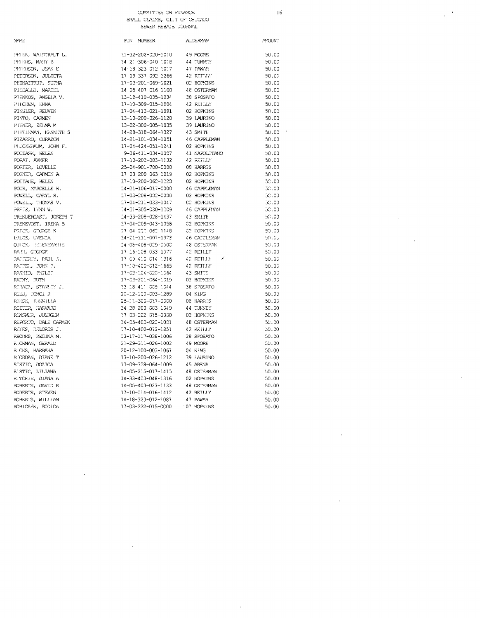COMMITTEE ON FINANCE SMALL CLAIMS ON TENNING  $16$ 

 $50.00$  $50.00$  $50.00$  $50.00$  $50.00$  $50.00$  $\overline{\phantom{a}}$ 

 $\hat{\mathbf{r}}$ 

 $\frac{1}{2}$  ,  $\frac{1}{2}$ 

 $\overline{a}$ 

 $\bar{z}$ 

 $\hat{\boldsymbol{\cdot} }$ 

 $\bar{z}$ 

| N/ME                                     |
|------------------------------------------|
| PETER, WALDTRAUT L.                      |
| PETERS, MARY B                           |
| PETERSON, JEAN E                         |
| PETERSON, JULIETA                        |
| PHINAITRUP, SUPHA                        |
| PIEDALLU, MARCEL                         |
|                                          |
| PIENKOS, ANGELA V.                       |
| PIICHEN, ERNA<br>PINSLER, REUVEN         |
| PINTO, CARMEN                            |
| PITNER, ZEIMA M                          |
| PITTLEMAN, KEANETH S                     |
| PIZARRO, CORAZON                         |
| PLUCKERAUM, JOHN F.                      |
|                                          |
| <b>POCIASK, HELEN</b>                    |
| PORAT, AVNER                             |
| PORTER, LOVELLE<br>POSNER, CARMEN A      |
|                                          |
| $\textsc{POTTA}(\mathbb{E}_t)$ HELEN     |
| FOUR, MARCELLE H.                        |
| FOWELL, CARYL S.                         |
| POWELL, THOMAS V.                        |
| PRETS, LYNN W.                           |
| PRENDERGAST, JOSEPH T                    |
| PRENEVOST, IRENA B                       |
| PRICE, GEORGE K                          |
| FRICE,<br><b>UVENTA</b>                  |
| QUICK, BELENB <mark>YAR</mark> TE        |
| RABS, GEORGE                             |
| RAFFERTY, PAUL 5.                        |
| <b>EAPPEL, JOHN P.</b>                   |
| RASHID, PHILIP                           |
| RAINY, RUTH                              |
| REBACZ, STANLEY J.                       |
| REED, TONCI R                            |
| REESE, PRENTLIA                          |
| REITER, HARVARD                          |
| RENSNER, JUERGEN<br>REPORTO, DALE CARMEN |
|                                          |
| REYES, DELORES J.                        |
| REODES, REGINA M.                        |
| RICHMAN, GERALD                          |
| RICKS, BARBARA                           |
| RIORDAN, DIANE T                         |
| RISTIC, BOZICA<br>RISTIC, LILIANA        |
|                                          |
| RITCHIE, D <mark>IANA A</mark>           |
| ROBERTS,<br>R ת־AVTD,                    |
| ROBERTS, STEVEN<br>ROBERTS, WILLIAM      |
|                                          |
| ROBICSEK, RODICA                         |
|                                          |
|                                          |
|                                          |

 $\ddot{\phantom{0}}$ 

 $\bar{z}$ 

| PIN NUMBER                   | <b>ALCERVAN</b>     | <b>NYOUN</b> . |
|------------------------------|---------------------|----------------|
| $11 - 32 - 202 - 020 - 1010$ | 49 MOORE            | 50.00          |
| 14-21-306-040-1018           | 44 TUNNEY           | 50.00          |
| 14-18-323-012-1017           | 47 PAWAR            | 50.00          |
| 17-09-337-092-1266           | 42 RETULY           | 50.00          |
| 17-03-201-069-1021           | 02 HOPKINS          | 50.00          |
| 14-05-407-016-1100           | 48 OSTERMAN         | 50.00          |
| 13-18-410-035-1034           | 38 SPOSATO          | 50.00          |
| 17-10-309-015-1904           | 42 REILLY           | 50.00          |
| 17-04-413-021-1091           | 02 HOPKINS          | 50.00          |
| 13-10-200-026-1120           | 39 LAURINO          | 50.00          |
| 13-02-300-005-1035           | 39 LAURINO          | 50.00          |
| 14-28-318-064-1327           | 43 SMITH            | 50.00          |
| 14-21-101-034-1051           | <b>46 CAPPLEMAN</b> | 50.00          |
| 17-04-424-051-1241           | 02 HOPKINS          | 50.00          |
| 9-36-411-034-1007            | 41 NAPOLITANO       | 50.00          |
| 17-10-202-083-1132           | 42 RETULY           | 50.00          |
| 25-04-901-700-0000           | 08 HARRIS           | 50.00          |
| 17-03-200-063-1019           | 02 HOPKINS          | 50.00          |
| 17-10-200-068-1228           | 02 HOPKINS          | 50.00          |
| 14-21-106-017-0000           | 46 CAPPLEMAN        | 50.00          |
| 17-03-208-002-0000           | 02 HOPKINS          | 50.00          |
| 17-04-211-033-1047           | 02 HOPKINS          | 50,00          |
| 14-21-305-030-1209           | 46 CAPPI FMAN       | 50.00          |
| 14-33-208-028-1437           | 43 SMITH            | 50.00          |
| 17-04-209-043-1058           | 02 HOPKINS          | 50,00          |
| 17-04-222-062-1148           | 02 HOPKINS          | 50.00          |
| 14-21-111-007-1373           | 46 CAPPLEMAN        | 50.00          |
| 14-08-408-009-0000           | 48 OSTERMAN         | 50.00          |
| 17-16-108-033-1077           | 42 REJLLY           | 50.00          |
| 17-09-410-014-1316           | ï<br>42 RETLLY      | 50.00          |
| 17-10-400-012-1665           | 42 REJIJY           | 50.00          |
| 17-03-104-020-1064           | 43 SMITH            | 50.00          |
| 17-03-201-064-1019           | 02 HOPKINS          | 50.00          |
| $13 - 18 - 413 - 005 - 1044$ | 38 SPOSATO          | 50.00          |
| 20-12-100-003-1289           | 04 KING             | 50.00          |
| 25-11-300-017-0000           | 08 HARRIS           | 50.00          |
| 14-28-200-003-1049           | 44 TUNNEY           | 50.00          |
| 17-03-222-015-0000           | 02 HOPKENS          | 50.00          |
| 14-05-403-022-1001           | 48 OSTERMAN         | 50,00          |
| 17-10-400-012-1851           | 42 REHLY            | 50.00          |
| 13-17-117-038-1006           | 38 SFOSATO          | 50.00          |
| 11-29-311-026-1003           | 49 MOORE            | 50.00          |
| 20-12-100-003-1067           | 04 KING             | 50.00          |
| 13-10-200-026-1212           | 39 LAURINO          | 50.00          |
| 13-09-328-064-1009           | 45 ARENA            | 50.00          |
| 14-05-215-017-1415           | 48 OSTERMAN         | 50.00          |
| 14-33-423-048-1316           | 02 HOPKINS          | 50.00          |
| 14-05-403-023-1133           | 48 OSTERMAN         | 50.00          |
| 17-10-214-016-1412           | 42 REILLY           | 50.00          |
| 14-18-323-012-1087           | 47 PAWAR            | 50.00          |
| 17-03-222-015-0000           | 102 HOPKINS         | 50.00          |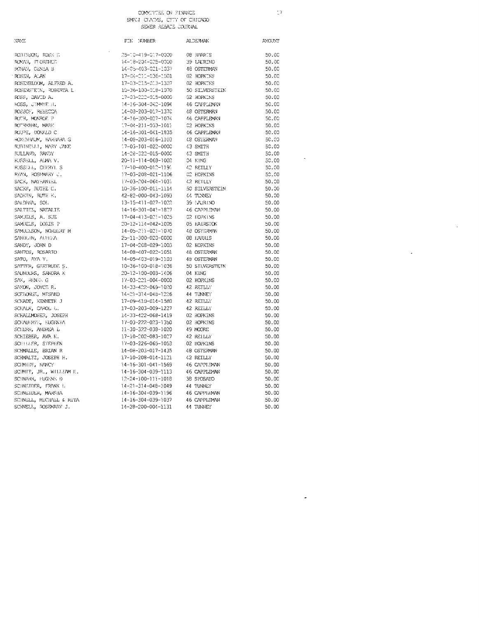#### COMMITTEE ON FINANCE SMAN JUDIATIONS, CITY OF CHICAGO SEWER REBATE COURVAL

**NAME** FIN NUMBER ALDERMAN **AYOUNT** ROBINSON, ROSE E  $25 - 10 - 419 - 017 - 0000$ 08 HARRTS ROMAN, FLORENCE 14-18-204-025-0000 39 LAURINO RONAN, GENIA B 14-05-403-021-1037 48 OSTERMAN ROSEN, ALAN 17-04-211-036-1001 02 HOPKINS  $\mathsf{ROSENBLOM}_\ell$  ALFED A. 17-03-215-013-1307 02 HOPKINS ROSENSTEIN, ROBERTA L 10-36-100-018-1070 50 SILVERSTEIN ROSS, DAVID A. 17-03-222-015-0000 02 HOPKINS ROSS, JEMMYE H.  $14 - 16 - 304 - 342 - 1094$ 46 CAPPLEMAN ROSSOF, REBECCA 14-08-203-017-1370 48 OSTERMAN ROTH, MONROF. P.  $-16 - 300 - 027 - 1074$ 46 CAPPLEMAN ROTHMANN, MARK  $-7 - 04 - 211 - 033 - 1011$ C2 HOPKINS ROUPE, DONALD C  $14 - 16 - 301 - 041 - 1835$ 46 CAPPLEMAN ROXENBAUM, HARBARA G 14-08-203-016-1103 48 OSTERMAN RUBINELLI, MARY JANE  $-7 - 03 - 101 - 022 - 0000$ 43 SMITH RULLAND, RANDY 14-28-322-015-0000 43 SMITH KUSSELL, ALMA V.  $20 - 11 - 114 - 068 - 1002$ 04 KING RUSSELLI, CHERYL S 17-10-400-010-1191 42 REILLY EYAN, ROSHWEY J. 37-03-208-021-1106 **C2 HOPKINS** 42 RETLLY SACK, NATHANIEL  $17 - 03 - 204 - 064 - 1031$ SACKS, RUTHE G.  $10 - 36 - 100 - 012 - 1114$ 50 SILVERSTEIN SADKIN, RUTH K. 42-82-000-043-1093 44 TUNNEY SALDAVA, SOL 13-15-411-027-1022 39 EAURENO SALTIEL, NATALIE  $14 - 16 - 301 - 041 - 18.27$ 46 CAPPLEVAN SAMUELS, A. SUE  $17 - 04 - 413 - 021 - 1025$ 02 HOPKINS SAMUELS, DORIS P 05 HAIRSTON 20-12-114-042-1005  $14 - 05 - 211 - 021 - 1070$ 48 OSTERWW SAMULLSON, NORBERT M SANDIGIN, AUSSEA 25-11-300-020-0000 08 EARRIS SANDY, JOHN D 17-04-208-029-1003 02 HOPKINS SANTOS, ROSARTO  $14 - 08 - 407 - 022 - 1051$ 48 OSTERMAN SATO, AYA Y. 14-05-403-019-1103 48 OSTERMAN SATTER, GERTRUDE S.  $10 - 36 - 100 - 018 - 1036$ 50 STIJVERSTETN SAUNDERS, SANDRA K 20-12-100-003-1406 04 KING SAX, RENEW G. 17-03-221-004-0000 02 HOPKINS SANON, JOYCE R. 14-33-422-069-1020 42 RETLLY 44 TUNNEY SCELONGE, MISAKO 14-21-314-048-1226 42 REILLY SCHADT, KENNETH  $\rm J$ 17-09-410-014-1580 SCHALK, CAROL L. 17-03-203-009-1227 42 RETLLY SCHALLMOSER, JOSEPH 14-33-422-068-1419 02 HOPKINS SCHAUHRTE, EUGENIA 17-03-222-023-1350 02 HOPKINS SCHERR, ANDREA L 11-30-322-038-1020 49 MOORE SCHIEBER, AVA. K. 17-10-202-083-1027 42 REILLY SCHILLER, STEPHEN 17-03-226-065-1053 02 HOPKINS SCHMALLE, BRIAN R 48 OSTERMAN 14-08-203-017-1435 SCHMALTZ, JOSEPH H. 17-10-208-014-1121 42 RETLLY SCHMIDT, NANCY  $14-16-301-041-1569$ 46 CAPPLEMAN SCHMIT, JR., WILLIAM E. 14-16-304-039-1113 46 CAPPLEMAN SCHNARR, EUGENE D  $12 - 24 - 100 - 111 - 1018$ 38 SPOSATO SCHNETDER, FRANK L  $14 - 21 - 314 - 048 - 1049$ 44 TUNNEY SCHNEIDER, MARSHA 14-16-304-039-1196 46 CAPPLEMAN SCHNELL, MICHAEL & RITA 14-16-304-039-1037 46 CAPPLEMAN SCHNELL, ROSEMARY J. 14-28-200-004-1131 44 TUNNEY

#### $17\,$

50.00

50.00

 $50.00$ 

 $50.00$ 

 $50.00$ 

 $50.00$ 

 $50.00$ 

 $50.00$ 

 $50.00$ 

50.00

 $50.00$ 

 $50.00$ 

50.00

50.00

50.00

50.00

50,00

50.00

50.00

 $50.00$ 

50.00

 $50.00$ 

50.00

50.00

50.00

50.00

 $50.00$ 

50.00

50.00

50.00

50.00

 $50.00$ 

50.00

50.00

50.00

50.00

50.00

 $50.00$ 

50.00

50.00

50.00

50.00

50.00

 $50.00$ 

 $50.00$ 

50.00

 $50.00$ 

50.00

50.00

50.00

50.00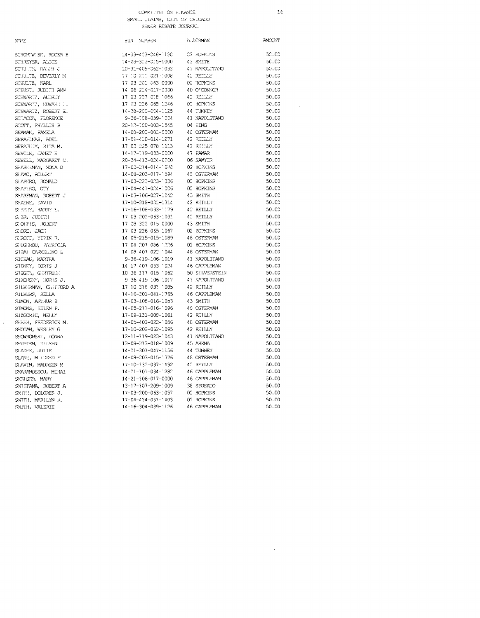## COMMITTEE ON FUNANCE

 $16$ 

 $\sim 10^6$ 

 $\sim 10^{11}$  km  $^{-1}$ 

| SMALL CLAIMS, CITY OF CHICAGO |  |
|-------------------------------|--|
| SEWER REBATE JOURNAL          |  |

| NWE                   | PIN NUMBER                    | A: DERMAN           | <b>AMCUNT</b> |
|-----------------------|-------------------------------|---------------------|---------------|
| SCHONIWISE, ROGER E   | 14-33-423-048-1180            | 02 HOPKINS          | 50.00         |
| SCHREYER, ALICE       | $14 - 28 - 302 - 015 - 0000$  | 43 SMITH            | 50.00         |
| SCIULTS, RALPH C      | $10 - 31 - 409 - 062 - 1033$  | 41 NAPOLITANO       | 50.00         |
| SCHULTZ, BEVERLY M    | $37 - 30 - 233 - 021 - 1008$  | 42 REILLY           | 50.00         |
| SCHULTZ, KARL         | 17-03-201-063-0000            | 02 HOPKINS          | 50.00         |
| SCHUST, JUDITH ANN    | 14-06-214-017-0000            | 10 O'CONNOR         | 50.00         |
| SCHWARTZ, AUBRET      | 17-03-207-018-1066            | 42 RELLLY           | 50.00         |
| SCHWARTZ, HIMARD H.   | 17-03-226-065-1246            | OD HOPKINS          | 50.00         |
| SCHWARTZ, ROBERT E.   | 14-08-200-004-1125            | 44 TUNNEY           | 50.00         |
| SCIACON, FLORENCE     | 9-36-108-059-1004             | 41 NAPOLITANO       | 50.00         |
| SCOTT, PHYLLIS B      | 20-12-100-003-1545            | 04 KING             | 50.00         |
| SEAMAN, PAYELA        | 14-08-203-001-0000            | <b>18 OSTERMAN</b>  | 50.00         |
| SERAFINAS, ADEL       | 17-09-410-014-1271            | 42 REILLY           | 50.00         |
| SERAPHIM, RUTA M.     | 17-03-225-078-1013            | 42 REHLY            | 50.00         |
| SEVCIK, JANET H       | 14-17-119-033-0000            | <b>17 PAVAR</b>     | 50.00         |
| SEWELL, MARCARET C.   | 20-34-413-024-0000            | 06 SAWYER           | 50.00         |
| SHABELMAN, MONA D     | 17-03-214-014-1078            | 02 HOPKINS          | 50.00         |
| SHAMO, ROBERT         | 14-08-203-017-1594            | 48 OSTERMAN         | 50.00         |
| SHAPERO, RONALD       | 17-03-222-023-1336            | 02 HOPKINS          | 50.00         |
| SHAPIRO, OTY          | $17 - 04 - 441 - 0.24 - 1006$ | 02 HOPKINS          | 50.00         |
| SHAREMAN, ROBERT J    | 17-03-106-027-1042            | 43 SMITH            | 50.00         |
| SHAYNE, EAVID         | 17-10-318-031-1314            | 42 REILLY           | 50.00         |
| SHEETY, HARRY L.      | 17-16-108-033-1179            | 42 REILLY           | 50.00         |
| SHER, JUDITH          | 17-03-202-063-1031            | 42 REILLY           | 50.00         |
| SHOLTIS, ROBERT       | 17-28-322-015-0000            | 43 SMITH            | 50.00         |
| SHORE, JACK           | 17-03-226-065-1067            | 02 HOPKINS          | 50.00         |
| SHROFF, YIPIN R.      | 14-05-215-015-1089            | 48 OSTERVAN         | 50.00         |
| SHUGHROU, PATRICIA    | 17-04-207-086-1226            | 02 HOPKINS          | 50.00         |
| STBAL CARMELINO L     | 14-08-407-022-1044            | 48 OSTERMAN         | 50.00         |
| SICHAU, MARTHA        | 9-36-419-106-1019             | 41 NAPOLITANO       | 50.00         |
| STONEY, CORTS J       | 14-17-407-053-1024            | 46 CAPPLEMAN        | 50.00         |
| STEGEL, GERTRUDE      | 10-36-117-015-1062            | 50 SILVERSTEIN      | 50.00         |
| SIKORSKY, DORIS J.    | 9-36-419-106-1017             | 41 NAPOLITANO       | 50.00         |
| STLVERWAN, CHEFFORD A | 17-10-318-031-1085            | 42 RETLLY           | 50.00         |
| SILVERS, RELLA        | 14-16-301-041-1765            | 46 CAPPLEMAN        | 50.00         |
| SIMON, ARTHUR B       | 17-03-108-016-1053            | 43 SMITH            | 50.00         |
| STMONS, HELEN P.      | 14-05-211-016-1096            | 43 OSTERMAN         | 50.00         |
| SIZGORIC, NELLY       | 17-09-131-008-1061            | 42 REILLY           | 50.00         |
| SKEER, FREDERICK M.   | 14-05-403-022-1056            | 48 OSTERMAN         | 50.00         |
| SKOCAN, WESLEY G      | 17-10-202-062-1095            | 42 REILLY           | 50.00         |
| SKOWRONSKI, IONNA     | 12-11-119-023-1043            | 41 NAPOLITANO       | 50.00         |
| SRUPIEN, ELLEEN       | 13-08-313-018-1009            | 45 ARENA            | 50.00         |
| SLADER, JULIE         | 14-21-307-047-1156            | 44 TUNNEY           | 50.00         |
| SLANE, MILDRED F      | 14-08-203-015-1376            | 48 OSTERMAN         | 50.00         |
| SIAVIN, MAUREEN M     | 17-10-132-037-1492            | 42 REILLY           | 50.00         |
| SMARANDESCU, MIHAI    | $14 - 21 - 101 - 034 - 1282$  | 46 CAPPLEMAN        | 50.00         |
| SMELSER, MARY         | 14-21-106-017-0000            | 46 CAPPLEMAN        | 50.00         |
| SMIETANA, ROBERT A    | 13-17-107-209-1009            | 38 SPOSATO          | 50.00         |
| SMITH, DOLORES J.     | 17-03-200-063-1057            | 02 HOPKINS          | 50.00         |
| SMITH, MARILYN R.     | $17 - 04 - 424 - 051 - 1403$  | 02 HOPKINS          | 50.00         |
| SMITH, VALERIE        | 14-16-304-039-1126            | <b>46 CAPPLEMAN</b> | 50.00         |
|                       |                               |                     |               |

 $\hat{\boldsymbol{\theta}}$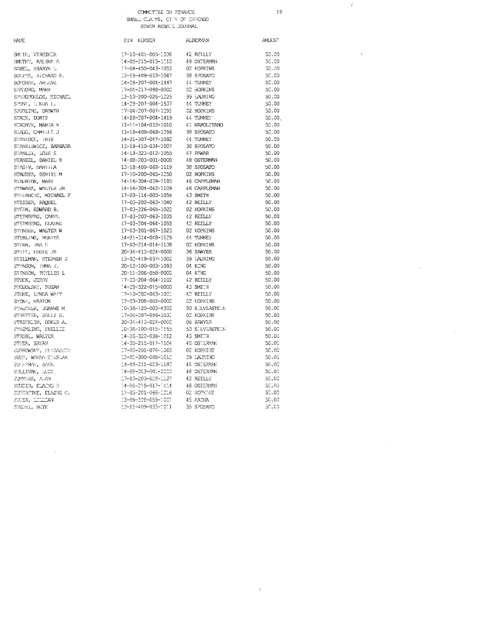# $\begin{tabular}{ll} \multicolumn{2}{l}{{\bf COMITTEE ON FINAVCS}}\\ \multicolumn{2}{l}{\bf SUALL} & {\bf CIALMS}, & {\bf CITY OF CHICNGO}\\ & {\bf SEMER} & {\bf NEMTS} & {\bf JOLRVAL} \end{tabular}$

 $19$ 

 $50.00$  $50.00$  $50.00$  $50.00$  $50.00$ <br> $50.00$  $50.00$  $50.00$ 50.00.  $50.00$  $50.00$  $50.00$ <br> $50.00$  $50.00$  $50.00$  $50.00$  $50.00$  $50.00$  $50.00$  $50.00$ 50.00  $50.00$  $50.00\,$  $50.00$  $50.00$  $50.00$  $50.00$  $50.00$  $50.00$ <br> $50.00$ 

 $\hat{\lambda}$ 

 $\vec{x}$ 

 $\hat{\lambda}$ 

 $\bar{z}$ 

 $\mathcal{A}$ 

 $\bar{z}$ 

| NAVE                  | PIN NUMBER                                                                      | <b>ALDERYAN</b>   | <b>AMOUNT</b> |
|-----------------------|---------------------------------------------------------------------------------|-------------------|---------------|
| SMITH, VIRGINIA       | 17-10-401-005-1336                                                              | 42 REILLY         | 50.00         |
| SMUTNY, ARLENE A      | 14-05-215-015-1110                                                              | 48 OSTERMAN       | 50.00         |
| SOBEL, SHARYN L       | $17 - 04 - 450 - 043 - 1055$                                                    | 02 HOPKINS        | 50.00         |
| SOLTYS, RICHARD S.    | 13-16-409-033-1047                                                              | 38 SPOSATO        | 50.00         |
| SOTOWN, AREENE        | 14-28-207-004-1447                                                              | 44 TUNNEY         | 50.00         |
| SPACORO, MARK         | 17-04-217-098-0000                                                              | <b>C2 HOPKINS</b> | 50.00         |
| SPIRCPOULOS, MICHAEL  | 13-10-200-026-1225                                                              | 39 LAURINO        | 50.00         |
| SPUNE, LINDA I.,      | $-4 - 28 - 207 - 004 - 1537$                                                    | 44 TUNNEY         | 50.00         |
| SPURLING, DARWIN      | 17-04-207-087-1291                                                              | 02 HOPKINS        | 50.00         |
| STACK, DORIS          | 14-28-207-004-1419                                                              | 44 TUNNEY         | 50.00         |
| STADNYK, MARTA K      | 12-11-104-033-1010                                                              | 41 NAPOLITANO     | 50.00         |
| STAGE, CAMILLE J      | 13-18-409-069-1296                                                              | 38 SPOSATO        | 50.00         |
| STANIOCH, IRIS        | 14-21-307-047-1092                                                              | 44 TUNNEY         | 50.00         |
| STANKIEWICZ, BARBARA  | 13-18-410-034-1007                                                              | 38 SPOSATO        | 50.00         |
| STANLEY, LOIS S       | 14-18-323-012-1055                                                              | 47 PAWAR          | 50.00         |
| STANZEL, DANIEL R     | 14-08-203-001-0000                                                              | 48 OSTERMAN       | 50.00         |
| STASIV, DANIILA       | 13-18-409-069-1119                                                              | 38 SPOSATO        | 50.00         |
| STAUDER, DENISE M     | 17-10-200-065-1250                                                              | <b>C2 HOPKINS</b> | 50.00         |
| STALNION, MARY        | 14-16-304-039-1185                                                              | 46 CAPPLEMAN      | 50.00         |
| STAWARZ, WALTER JR    | 14-16-304-042-1109                                                              | 46 CAPPLEMAN      | 50.00         |
| STEPANCIC, MICHAEL F  | 17-03-114-003-1054                                                              | 43 SMITH          | 50.00         |
| STEIDER, RAQUEL       | 17-03-202-063-1040                                                              | 42 REILLY         | 50.00         |
|                       | 17-03-226-065-1022                                                              | 02 HOPKINS        | 50.00         |
| STEIN, EDWARD B.      |                                                                                 | 42 REILLY         | 50.00         |
| STEINBERG, CARYL      | 17-03-202-063-1035                                                              |                   |               |
| STEINBERG, ELAINE     | 17-03-204-064-1055                                                              | 42 REILLY         | 50.00         |
| STENDER, WALTER W     | 17-03-201-067-1023                                                              | 02 HOPKINS        | 50.00         |
| STERLING, RENTTA      | 14-21-314-048-1129                                                              | 44 TUNNEY         | 50.00         |
| STERN, INA S          | 17-03-214-014-1138                                                              | 02 HOPKINS        | 50.00         |
| STIFF, EDDIE JR       | 20-34-413-024-0000                                                              | 06 SAWYER         | 50.00         |
| STILLMAN, STEPHEN J   | 13-02-419-037-1002                                                              | 39 LAURINO        | 50.00         |
| STINSON, IRMA J.      | 20-12-100-003-1093                                                              | 04 KING           | 50.00         |
| STINSON, PHYLLIS L    | 20-11-206-058-0000                                                              | 04 KTNG           | 50.00         |
| STOCK, JERRY          | $:7-03-204-064-1102$                                                            | 42 REILLY         | 50.00         |
| STODOLSKY, SUSAN      | $14 - 28 - 322 - 015 - 0000$                                                    | 43 SMITH          | 50.00         |
| STONE, LYNDA WAIT     | 17-10-202-063-1021                                                              | 42 REILLY         | 50.00         |
| STONE, MARION         | 17-03-208-002-0000                                                              | C2 HOPKINS        | 50.00         |
| STRECKER, JOANNE M    | $-0-36-120-003-4302$                                                            | 50 SULVERSTEIN    | 50.00         |
| STREETER, SALLY B.    | 17-04-207-086-1031                                                              | 02 HOPKINS        | 50.00         |
| STRICKLIN, DORIS A.   | 20-34-413-024-0000                                                              | 06 SAWYER         | 50.00         |
| STRIMING, SHELLIE     | $10-36-100-015-1155$                                                            | 50 SILVERSTEIN    | 50.00         |
| STROBL, WALTER        | $14 - 28 - 322 - 038 - 1012$                                                    | 43 SMITH          | 50.00         |
| STYER, BRYAN          | 14-05-215-017-1104                                                              | 48 OSTERVAN       | 50.00         |
| SUBKOWSKY, HILLYABETH | 17-03-201-076-1065                                                              | 02 HOPKINS        | 50.00         |
| SUCH, WANDA CHESLAK   | 13-01-300-008-1012                                                              | 39 LAURINO        | 50.00         |
| SUNEYMAN, SAFA        | 14-05-211-023-1180                                                              | 48 OSTERMAN       | 50.00         |
| SULIVAN, LUCY         | 14-08-203-001-0000                                                              | 48 OSTERVAN       | 50.00         |
| <b>SUMMERS, ALAN</b>  | 17-10-203-028-1127                                                              | 42 REILLY         | 50.00         |
| SUCIN, ELAINE R       | 14-05-215-017-1414                                                              | 48 OSTERMAN       | 50.00         |
| SUPERFINE, ELAINE C.  | 17-03-201-066-1016                                                              | 02 HOPKINS        | 50.00         |
| SUIER, LILLIAN        | $13 - 09 - 328 - 059 - 1003 = 45 RENDA 13 - 18 - 409 - 033 - 1011 = 36 SPOSATO$ |                   | 50.00         |
| SUZUKI, RUTE          |                                                                                 | 38 SPOSATO        | 50.00         |
|                       |                                                                                 |                   |               |

 $\bar{\beta}$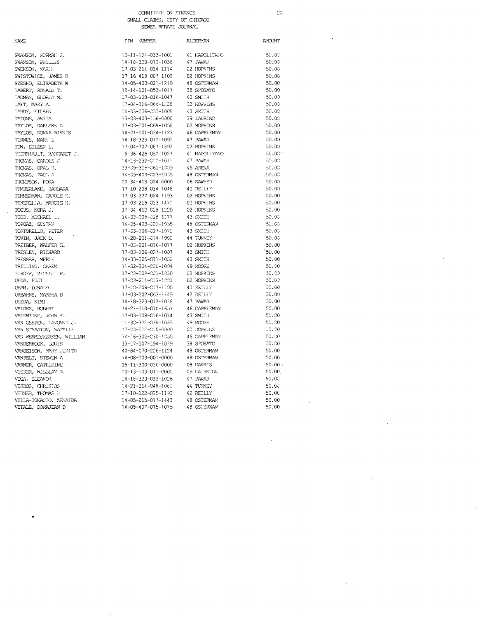$\bar{2}\bar{0}$ 

 $AMOUNI$  $50.00$  $50.00$  $50.00$ <br> $50.00$  $50.00$  $50.00$  $50.00$  $60.00$  $50.00$  $50.00$ <br> $50.00$  $50.00$  $50.00$  $50.00$  $50.00$  $50.00$  $50.00$  $50.00$  $50.00$  $50.00$  $50.00$  $50.00$ 

 $50.00$  $50.00$ <br> $50.00$ 

 $50.00$ <br> $50.00$ <br> $50.00$  $50.00$ 

 $50.00$  $\mathbf{50.00}$  $50.00$  $50.00$  $50.00\,$  $50.00$  $50.00$ 50.00  $50.00$  $\mathfrak{so}, \mathfrak{so}$  $50.00$  $50.00$  $50.00$  $50.00$  $50.00 +$ 50.00  $50.00$  $50.00$  $50.00$  $50.00$  $50.00$ 

 $\ddot{\phantom{a}}$ 

 $\bar{\beta}$ 

 $\sim$ 

 $\overline{1}$ 

l,

| <b>NAYS</b>                        |
|------------------------------------|
|                                    |
| SWANSON, NORMAN J.                 |
|                                    |
| SWANSON, PHYLLES<br>SWENSON, MARTH |
| SWISTOWICZ, JAMES R                |
| SZEGHO, ELISABETH W                |
|                                    |
| TABERT,<br>RONALLY T.              |
| TADMAN, GLORIA M.                  |
| TAFT, MARY A.                      |
| TARDY, EILEEN                      |
| TATONE, ANITA                      |
| TAYLOR, DARLENE A                  |
| TAYLOR, DONNA BIRNIS               |
| TERNES, MARY L                     |
| TEW, EILEEN L.                     |
| THERRIAULT, MARCARET J.            |
| THOMAS, CAROLE J                   |
| THOMAS, OPAL B.                    |
| THOMAS, PAUL A                     |
| THOMPSON, ROSA                     |
| TIMBERLAKE, BARBARA                |
| TIMMERMAN, CAROLE E.               |
| TINERELIA, MARGIE H.               |
| TOCUS, NORA J.                     |
| TODD, MICHAEL L.                   |
| TOPOAZ, GUSTAV                     |
| TORTORELLO, PETER                  |
| TOVIN, JACK D.                     |
| TREIBER, WALTER G.                 |
| TRESLEY, RICHARD                   |
| TRESSER, MERLE                     |
| TRILLING, CAREN                    |
| TUROFF, MICHAEL P.                 |
| UEDA, FJJI                         |
| URVM, DONALD                       |
| URBAHNS, MARSHA B                  |
| UYEDA, KIMI                        |
| VALDEZ, ROBERT                     |
| VALENTINE, JOIN F.                 |
| VAN GERPEN, TAVONNE J.             |
| VAN STRAATON, NATALIE              |
| VAN WERMESKERKEN, WILLIAM          |
| VANDERHOOK, LOUIS                  |
| VANGEISON, MARY JUDITH             |
| VANPELT, STEVEN A                  |
| VARNER, CATHERINE                  |
| VEEDER, WILLIAM R.                 |
| VEGA, ELEANOR                      |
| VERDOS, CHRESTOS                   |
| VERNER, THOMAS H                   |
| VILLA-IGNACIO, ZENATDA             |
| VITALE, DONAJEAN D                 |

J.

 $\bullet$ 

 $\sim 10$ 

<sup>1</sup>

| PTN. | <b>NUMBER</b>      | ALDERYAN      |
|------|--------------------|---------------|
|      |                    |               |
|      | 12-11-104-033-1001 | 41 NAPOLITANO |
|      | 14-18-323-012-1038 | 47 PAWAR      |
|      | 17-03-214-014-1114 | 02 HOPKTNS    |
|      | 17-16-419-007-1102 | 02 HOPKINS    |
|      | 14-05-403-021-1219 | 48 OSTERMAN   |
|      | 12-14-101-053-1017 | 38 SPOSATO    |
|      | 17-03-108-016-1047 | 43 SMITH      |
|      | 17-04-216-064-1328 | 02 HOPKINS    |
|      | 14-33-206-052-1008 | 43 SMITH      |
|      | 13-03-403-156-0000 | 39 LAURINO    |
|      | 17-03-201-069-1058 | 02 HOPKINS    |
|      | 14-21-101-034-1123 | 46 CAPPLEMAN  |
|      | 14-18-323-012-1092 | 47 PAWAR      |
|      | 17-04-207-087-1392 | 02 HOPKINS    |
|      | 9-36-425-052-1027  | 41 NAPOLITANO |
|      | 14-18-232-010-1011 | 47 PAWAR      |
|      | 13-09-329-061-1009 | 45 ARENA      |
|      | 14-05-403-023-1055 | 48 OSTERMAN   |
|      | 20-34-413-024-0000 | 06 SAWYER     |
|      | 17-10-208-014-1048 | 42 REILIN     |
|      | 17-03-227-024-1193 | 02 HOPKINS    |
|      | 17-03-215-013-1472 | 02 HOPKINS    |
|      | 17-04-412-028-1220 | 02 HOPKINS    |
|      | 14-33-208-028-1177 | 43 SYITE      |
|      | 14-05-403-021-1055 | 48 OSTERVAN   |
|      | 17-03-106-027-1072 | 43 SMITH      |
|      | 14-28-201-014-1002 | 44 TUNNEY     |
|      | 17-03-201-076-1077 | 02 HOPKINS    |
|      | 17-03-106-027-1007 | 43 SMITH      |
|      | 14-33-325-071-1032 | 43 SMITH      |
|      | 11-32-304-030-1004 | 49 MOORE      |
|      | 17-03-208-021-1030 | 02 HOPKINS    |
|      | 17-03-214-013-1001 | 02 HOPKINS    |
|      | 17-10-208-017-1105 | 42 RETLEY     |
|      | 17-03-202-063-1149 | 42 REILLY     |
|      | 14-18-323-012-1018 | 47 PAWAR      |
|      | 14-21-110-070-1657 | 46 CAPPLEMAN  |
|      | 17-03-108-016-1074 | 43 SMITH      |
|      | 11-30-322-038-1035 | 49 MOORE      |
|      | 17-03-222-015-0000 | C2 HOPKINS    |
|      | 14-16-302-030-1055 | 46 CAPPLEMAN  |
|      | 13-17-107-194-1019 | 38 SPOSATO    |
|      | 40-84-070-226-1124 | 48 OSTERWW    |
|      | 14-08-203-001-0000 | 48 OSTERMAN   |
|      | 25-11-300-036-0000 | 08 HARRIS     |
|      | 20-13-103-011-0000 | 05 FAIRSTON   |
|      | 14-18-323-012-1026 | 47 PAWAR      |
|      | 14-21-314-048-1082 | 44 TUNNEY     |
|      | 17-10-122-025-1193 | 42 REILLY     |
|      | 14-05-215-017-1443 | 48 OSTERMAN   |
|      | 14-05-407-015-1075 | 48 OSTERMAN   |
|      |                    |               |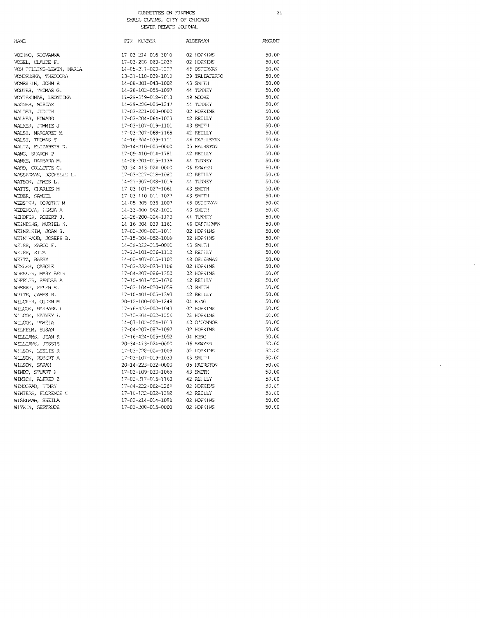NAME  $\text{PIN}-\text{KUMBER}$ **ALDERYAN** AMOUNT VOCINO, GIOVANNA 17-03-214-016-1010 02 HOPKINS 50.00 VOGEL, CLAUDE F. 17-03-200-063-1039 02 HOPKINS 50.00  $14 - 0.5 - 211 - 0.23 - 1.227$ 49 OSTERVANI  $50.00$ VON TILLING-LEWIN, MARIA VONDRUSKA, THEODORA 13-31-118-039-1010 29 TALIAFERRO 50.00 43 SMITH 50.00 VONRHEIN, JOHN R 14-08-301-043-1002 VOUTES, THOMAS G. 14-28-103-055-1097 44 TUNNEY 50.00 VOYTEKUNAS, LEONIINA 11-29-319-018-1013 49 MOORE 50.00  $\texttt{44}$  TUNNEY 50.00 WAGNER, MIRIAN 14-28-206-005-1347 WALDER, JUDITH 17-03-221-003-0000 02 HOPKINS 50.00  $17 - 03 - 204 - 064 - 1023$ 42 REILLY 50.00 WALKER, HOWARD WALKER, JIMMIE J 17-03-107-019-1101 43 SMITH 50.00 WALSH, MARGARET M 42 REILLY 50.00 17-03-207-068-1168 WALSH, THOMAS F  $14\text{--}16\text{--}304\text{--}039\text{--}1121$  $46\,$  CAPPLEYAN  $50\,.\,00$ WALTZ, ELIZABETH R. 20-14-210-005-0000 05 HAIRSTON 50.00 WANG, SHARON P 42 REILLY 50.00 17-09-410-014-1781 WANKE, RARBARA M. 14-28-201-015-1139 44 TUNNEY  $50.00$ WARD, COLLETTE C. 20-34-413-024-0000 06 SAWYER 50.00 WASSERMAN, ROCHELLE L. 17-03-227-018-1082 42 RETURN 50.00  $44\,$  TUNNEY 50.00 WATSON, JAMES L.  $14 - 21 - 307 - 048 - 1019$ WATTS, CHARLES M 43 SMITH 50.00 17-03-101-027-1061 WEBER, SAMUEL 17-03-110-011-1027 43 SMITH 50.00 WERSTER, DOROTHY M  $-4 - 05 - 305 - 036 - 1007$ 48 OSTERWAN 50.00 WEDENOUA, HUNDA A 14-33-400-042-1021 43 SMITH 50.00 WEHOFIER, ROBERT J. 14-28-200-004-1123 44 TUNNEY 50.00 WEINBERG, MURIEL K.  $14-16-304-039-1161$ 46 CAPPLEMN  $50.00$ 02 HOPKINS 50.00 WEINSTEIN, JOAN S. 17-03-208-021-1011 17-15-304-052-1009 02 HOPKINS  $50.00$ WEINTRAUB, JOSEPH B. 14-28-322-015-0000 43 SMITH 50.00 WEISS, MARCO F. 42 REILLY 50.00 WEISS, RITA  $-7 - 15 - 101 - 006 - 1112$ WEITZ, BARRY 14-05-407-015-1102 48 OSTERMAN 50.00 WEXLER, CAROLE 17-03-222-023-1106 02 HOPKINS 50.00 WHEELER, MARY BETH 17-04-207-066-1350 02 HOPKINS 50.00  $17 - 10 - 401 - 005 - 1676$ 42 RETLLY 50.00 WHEELER, SANDRA A 43 SMITH  $17 - 03 \cdot 104 - 020 - 1059$ 50.00 WHERRY, HELEN R. WHITE, JAMES R. 17-10-401-005-1393 42 REILLY 50.00 WILCHER, OGDEN M 20-12-100-003-1248 04 KING 50.00 WILCON, RARBARA L 17-16-423-002-1043 02 HOPKINS  $50.00$ 17-15-304-052-1256 02 HOPKINS 50.00 WILCOM, HARVEY L WILCOM, PAMELA  $-14 - 07 - 102 - 004 - 1013$ 40 O'CONVOR  $50.00$ WILHELM, SUSAN 17-04-207-087-1097 02 HOPKINS 50.00 17-16-424-005-1052 04 KING 50.00 WILLIAMS, JEAN R 06 SAWYER WILLIAMS, JESSIE 20-34-413-024-0000 50.00 WHISON, LESLIE R 17-05-228-024-1008 02 HOPKINS 50.00 17-03-107-019-1033 50.00 43 SMITH WILSON, ROBERT A WILSON, SARAH 20-14-223-032-0000 05 HAIRSTON 50.00 WINDT, STUART H 17-03-109-033-1068 43 SMTTP  $50.00$ WINICK, ALFRED Z 17-03-117-015-1160 42 REFLLY 50.00 17-04-222-062-1289 02 HOPKINS 50,00 WINCORPD, HENEY 17-10-122-022-1392 WINTERS, FLORENCE C 42 REILLY 50,00 WISEIMW, SHEILA 17-03-214-014-1088 02 HOPKINS 50.00 17-03-208-015-0000 02 HOPKINS  $50.00$ WITKIN, GERTRUDE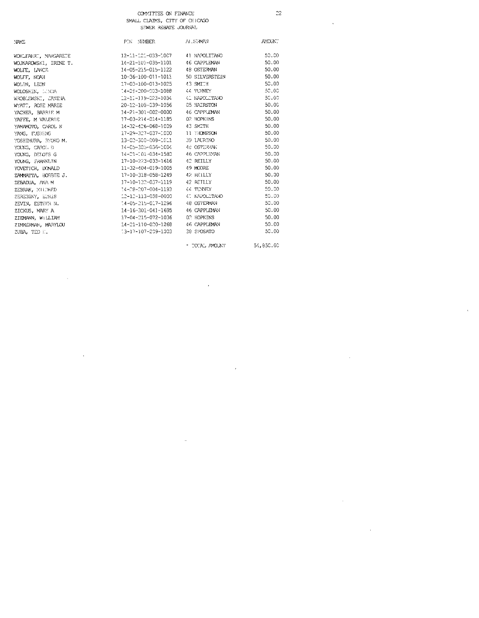$22\,$ 

 $\ddot{\phantom{a}}$ 

 $\bar{z}$ 

 $\sim$ 

 $\ddot{\phantom{a}}$ 

| <b>NAME</b> |  |
|-------------|--|
|             |  |

WOHLFAHRT, MARGARETE WOJNAROWSKI, IRENE T. WOLFE, LANCE WOLFF, NOAH WOLIN, LEON WOLOSHEN, LONDA<br>WROBLEWSKI, JANINA WYATT, ROSE MARIE YACHER, BARRIE M YAFFE, M VALERIE YAMAMOIO, CAROL N YANG, FUSHENG YOSHIMURA, RYOKO M. YOUNG, CAROL D YOUNG, DELOTS G YOUNG, ERANNIJIN YOVETICH, DONALD ZAMMATTA, BOBBIE J. ZEBADUA, ANA M ZEBRAK, MILORED ZEREBINY, ELRIS ZEVIN, ESTHER N. ZICKUS, MARY A ZIEMANN, WILLIAM ZIMMERMAN, MARYLOU ZUBA, TED :

 $\ddot{\phantom{a}}$ 

| PIN NUMBER                       | ALC: AMAN          | AVOUN. |
|----------------------------------|--------------------|--------|
| 12-11-121-033-1007 41 NAPOLITANO |                    | 50,00  |
| 14-21-101-035-1101               | 46 CAPPLEMAN       | 50.00  |
| 14-05-215-015-1122               | 48 OSTERMAN        | 50.00  |
| 10-36-100-011-1011               | 50 STIVERSTEIN     | 50.00  |
| 17-03-100-013-1025               | 43 SMITH           | 50.00  |
| 14-28-200-003-1088               | 44 TUNNEY          | 50.00  |
| 12-11-119-023-1034               | 41 NAPOLITANO      | 50.00  |
| 20-12-108-039-1056               | 05 HATRSTON        | 50.00  |
| 14-21-301-002-0000               | 46 CAPPLEMAN       | 50.00  |
| 17-03-214-014-1185               | 02 HOPKINS         | 50.00  |
| 14-32-426-068-1009               | 43 SMTTH           | 50.00  |
| 17-29-327-037-1000               | 11 HOMPSON         | 50.00  |
| 13-02-300-008-1011               | 39 LAURINO         | 50.00  |
| 14-05-305-036-1004               | <b>AE OSTERVAN</b> | 50.00  |
| 14-21-101-034-1583               | 46 CAPPLEMAN       | 50.00  |
| 17-10-223-033-1616               | 42 REILLY          | 50.00  |
| 11-32-404-019-1005               | 49 MOORE           | 50.00  |
| 17-10-318-058-1249               | 42 REILLY          | 50.00  |
| 17-10-132-037-1119               | 42 RETLLY          | 50.00  |
| 14-28-207-004-1193               | 44 TUNNEY          | 50.00  |
| 12-12-113-058-0000               | AT KAROLETANO      | 50.00  |
| 14-05-215-017-1296               | 48 OSTERMAN        | 50,00  |
| 14-16-301-041-1695               | 46 CAPPLEMAN       | 50.00  |
| 17-04-215-072-1036               | 02 HOPKINS         | 50.00  |
| 14-21-110-020-1268               | 46 CAPPLEMAN       | 50.00  |
| 13-17-107-209-1003               | 38 SPOSATO         | 50,00  |
|                                  |                    |        |

 $\tau$  TOTAL AMOUNT

 $\cdot$ 

J.

54,850.00